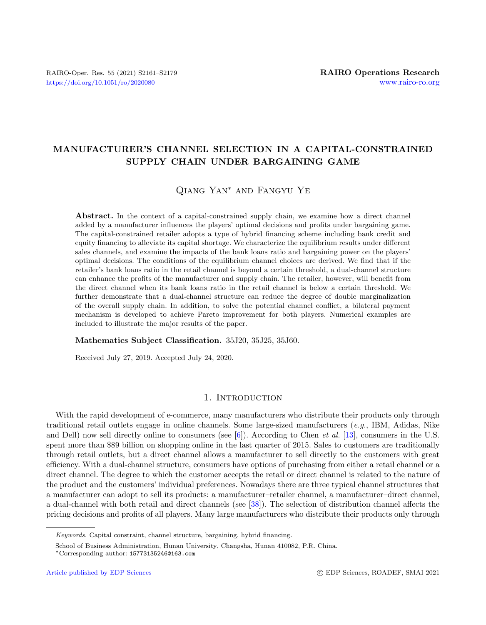# MANUFACTURER'S CHANNEL SELECTION IN A CAPITAL-CONSTRAINED SUPPLY CHAIN UNDER BARGAINING GAME

# Qiang Yan<sup>∗</sup> and Fangyu Ye

Abstract. In the context of a capital-constrained supply chain, we examine how a direct channel added by a manufacturer influences the players' optimal decisions and profits under bargaining game. The capital-constrained retailer adopts a type of hybrid financing scheme including bank credit and equity financing to alleviate its capital shortage. We characterize the equilibrium results under different sales channels, and examine the impacts of the bank loans ratio and bargaining power on the players' optimal decisions. The conditions of the equilibrium channel choices are derived. We find that if the retailer's bank loans ratio in the retail channel is beyond a certain threshold, a dual-channel structure can enhance the profits of the manufacturer and supply chain. The retailer, however, will benefit from the direct channel when its bank loans ratio in the retail channel is below a certain threshold. We further demonstrate that a dual-channel structure can reduce the degree of double marginalization of the overall supply chain. In addition, to solve the potential channel conflict, a bilateral payment mechanism is developed to achieve Pareto improvement for both players. Numerical examples are included to illustrate the major results of the paper.

#### Mathematics Subject Classification. 35J20, 35J25, 35J60.

Received July 27, 2019. Accepted July 24, 2020.

## 1. INTRODUCTION

With the rapid development of e-commerce, many manufacturers who distribute their products only through traditional retail outlets engage in online channels. Some large-sized manufacturers (e.g., IBM, Adidas, Nike and Dell) now sell directly online to consumers (see  $[6]$ ). According to Chen *et al.* [\[13\]](#page-17-1), consumers in the U.S. spent more than \$89 billion on shopping online in the last quarter of 2015. Sales to customers are traditionally through retail outlets, but a direct channel allows a manufacturer to sell directly to the customers with great efficiency. With a dual-channel structure, consumers have options of purchasing from either a retail channel or a direct channel. The degree to which the customer accepts the retail or direct channel is related to the nature of the product and the customers' individual preferences. Nowadays there are three typical channel structures that a manufacturer can adopt to sell its products: a manufacturer–retailer channel, a manufacturer–direct channel, a dual-channel with both retail and direct channels (see [\[38\]](#page-18-0)). The selection of distribution channel affects the pricing decisions and profits of all players. Many large manufacturers who distribute their products only through

Keywords. Capital constraint, channel structure, bargaining, hybrid financing.

School of Business Administration, Hunan University, Changsha, Hunan 410082, P.R. China.

<sup>∗</sup>Corresponding author: [15773135246@163.com](mailto:15773135246@163.com)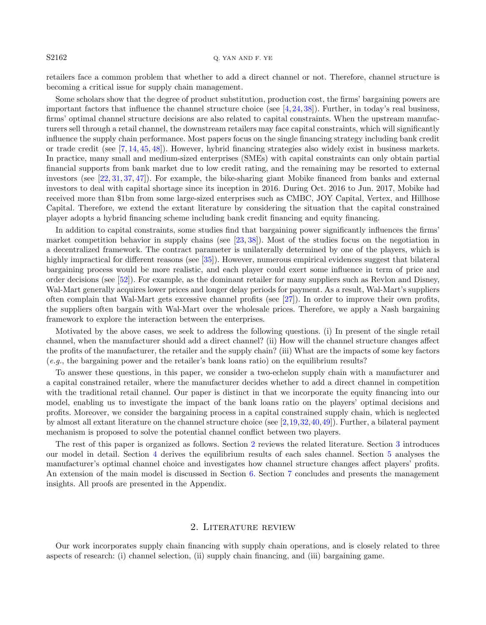retailers face a common problem that whether to add a direct channel or not. Therefore, channel structure is becoming a critical issue for supply chain management.

Some scholars show that the degree of product substitution, production cost, the firms' bargaining powers are important factors that influence the channel structure choice (see  $[4, 24, 38]$  $[4, 24, 38]$  $[4, 24, 38]$  $[4, 24, 38]$  $[4, 24, 38]$ ). Further, in today's real business, firms' optimal channel structure decisions are also related to capital constraints. When the upstream manufacturers sell through a retail channel, the downstream retailers may face capital constraints, which will significantly influence the supply chain performance. Most papers focus on the single financing strategy including bank credit or trade credit (see [\[7,](#page-17-4) [14,](#page-17-5) [45,](#page-18-1) [48\]](#page-18-2)). However, hybrid financing strategies also widely exist in business markets. In practice, many small and medium-sized enterprises (SMEs) with capital constraints can only obtain partial financial supports from bank market due to low credit rating, and the remaining may be resorted to external investors (see [\[22,](#page-17-6) [31,](#page-17-7) [37,](#page-18-3) [47\]](#page-18-4)). For example, the bike-sharing giant Mobike financed from banks and external investors to deal with capital shortage since its inception in 2016. During Oct. 2016 to Jun. 2017, Mobike had received more than \$1bn from some large-sized enterprises such as CMBC, JOY Capital, Vertex, and Hillhose Capital. Therefore, we extend the extant literature by considering the situation that the capital constrained player adopts a hybrid financing scheme including bank credit financing and equity financing.

In addition to capital constraints, some studies find that bargaining power significantly influences the firms' market competition behavior in supply chains (see  $[23, 38]$  $[23, 38]$  $[23, 38]$ ). Most of the studies focus on the negotiation in a decentralized framework. The contract parameter is unilaterally determined by one of the players, which is highly impractical for different reasons (see [\[35\]](#page-18-5)). However, numerous empirical evidences suggest that bilateral bargaining process would be more realistic, and each player could exert some influence in term of price and order decisions (see [\[52\]](#page-18-6)). For example, as the dominant retailer for many suppliers such as Revlon and Disney, Wal-Mart generally acquires lower prices and longer delay periods for payment. As a result, Wal-Mart's suppliers often complain that Wal-Mart gets excessive channel profits (see [\[27\]](#page-17-9)). In order to improve their own profits, the suppliers often bargain with Wal-Mart over the wholesale prices. Therefore, we apply a Nash bargaining framework to explore the interaction between the enterprises.

Motivated by the above cases, we seek to address the following questions. (i) In present of the single retail channel, when the manufacturer should add a direct channel? (ii) How will the channel structure changes affect the profits of the manufacturer, the retailer and the supply chain? (iii) What are the impacts of some key factors (e.g., the bargaining power and the retailer's bank loans ratio) on the equilibrium results?

To answer these questions, in this paper, we consider a two-echelon supply chain with a manufacturer and a capital constrained retailer, where the manufacturer decides whether to add a direct channel in competition with the traditional retail channel. Our paper is distinct in that we incorporate the equity financing into our model, enabling us to investigate the impact of the bank loans ratio on the players' optimal decisions and profits. Moreover, we consider the bargaining process in a capital constrained supply chain, which is neglected by almost all extant literature on the channel structure choice (see [\[2,](#page-17-10)[19,](#page-17-11)[32,](#page-17-12)[40,](#page-18-7)[49\]](#page-18-8)). Further, a bilateral payment mechanism is proposed to solve the potential channel conflict between two players.

The rest of this paper is organized as follows. Section [2](#page-1-0) reviews the related literature. Section [3](#page-4-0) introduces our model in detail. Section [4](#page-5-0) derives the equilibrium results of each sales channel. Section [5](#page-7-0) analyses the manufacturer's optimal channel choice and investigates how channel structure changes affect players' profits. An extension of the main model is discussed in Section [6.](#page-12-0) Section [7](#page-13-0) concludes and presents the management insights. All proofs are presented in the Appendix.

## 2. Literature review

<span id="page-1-0"></span>Our work incorporates supply chain financing with supply chain operations, and is closely related to three aspects of research: (i) channel selection, (ii) supply chain financing, and (iii) bargaining game.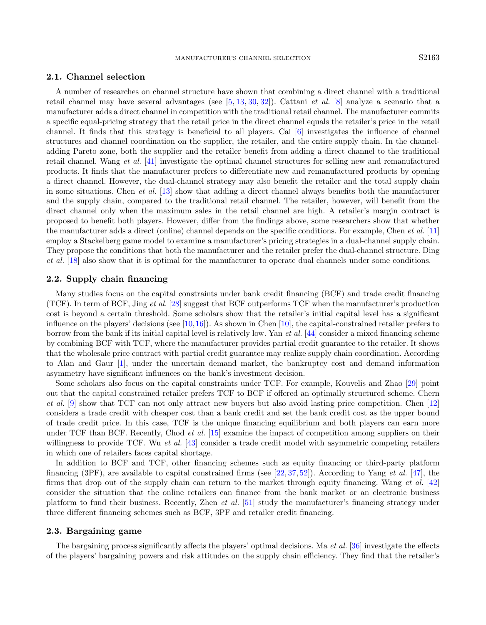## 2.1. Channel selection

A number of researches on channel structure have shown that combining a direct channel with a traditional retail channel may have several advantages (see [\[5,](#page-17-13) [13,](#page-17-1) [30,](#page-17-14) [32\]](#page-17-12)). Cattani et al. [\[8\]](#page-17-15) analyze a scenario that a manufacturer adds a direct channel in competition with the traditional retail channel. The manufacturer commits a specific equal-pricing strategy that the retail price in the direct channel equals the retailer's price in the retail channel. It finds that this strategy is beneficial to all players. Cai [\[6\]](#page-17-0) investigates the influence of channel structures and channel coordination on the supplier, the retailer, and the entire supply chain. In the channeladding Pareto zone, both the supplier and the retailer benefit from adding a direct channel to the traditional retail channel. Wang et al. [\[41\]](#page-18-9) investigate the optimal channel structures for selling new and remanufactured products. It finds that the manufacturer prefers to differentiate new and remanufactured products by opening a direct channel. However, the dual-channel strategy may also benefit the retailer and the total supply chain in some situations. Chen *et al.* [\[13\]](#page-17-1) show that adding a direct channel always benefits both the manufacturer and the supply chain, compared to the traditional retail channel. The retailer, however, will benefit from the direct channel only when the maximum sales in the retail channel are high. A retailer's margin contract is proposed to benefit both players. However, differ from the findings above, some researchers show that whether the manufacturer adds a direct (online) channel depends on the specific conditions. For example, Chen et al. [\[11\]](#page-17-16) employ a Stackelberg game model to examine a manufacturer's pricing strategies in a dual-channel supply chain. They propose the conditions that both the manufacturer and the retailer prefer the dual-channel structure. Ding et al. [\[18\]](#page-17-17) also show that it is optimal for the manufacturer to operate dual channels under some conditions.

## 2.2. Supply chain financing

Many studies focus on the capital constraints under bank credit financing (BCF) and trade credit financing (TCF). In term of BCF, Jing et al. [\[28\]](#page-17-18) suggest that BCF outperforms TCF when the manufacturer's production cost is beyond a certain threshold. Some scholars show that the retailer's initial capital level has a significant influence on the players' decisions (see  $[10,16]$  $[10,16]$ ). As shown in Chen  $[10]$ , the capital-constrained retailer prefers to borrow from the bank if its initial capital level is relatively low. Yan et al. [\[44\]](#page-18-10) consider a mixed financing scheme by combining BCF with TCF, where the manufacturer provides partial credit guarantee to the retailer. It shows that the wholesale price contract with partial credit guarantee may realize supply chain coordination. According to Alan and Gaur [\[1\]](#page-17-21), under the uncertain demand market, the bankruptcy cost and demand information asymmetry have significant influences on the bank's investment decision.

Some scholars also focus on the capital constraints under TCF. For example, Kouvelis and Zhao [\[29\]](#page-17-22) point out that the capital constrained retailer prefers TCF to BCF if offered an optimally structured scheme. Chern et al. [\[9\]](#page-17-23) show that TCF can not only attract new buyers but also avoid lasting price competition. Chen [\[12\]](#page-17-24) considers a trade credit with cheaper cost than a bank credit and set the bank credit cost as the upper bound of trade credit price. In this case, TCF is the unique financing equilibrium and both players can earn more under TCF than BCF. Recently, Chod *et al.* [\[15\]](#page-17-25) examine the impact of competition among suppliers on their willingness to provide TCF. Wu et al. [\[43\]](#page-18-11) consider a trade credit model with asymmetric competing retailers in which one of retailers faces capital shortage.

In addition to BCF and TCF, other financing schemes such as equity financing or third-party platform financing (3PF), are available to capital constrained firms (see [\[22,](#page-17-6) [37,](#page-18-3) [52\]](#page-18-6)). According to Yang *et al.* [\[47\]](#page-18-4), the firms that drop out of the supply chain can return to the market through equity financing. Wang *et al.* [\[42\]](#page-18-12) consider the situation that the online retailers can finance from the bank market or an electronic business platform to fund their business. Recently, Zhen et al. [\[51\]](#page-18-13) study the manufacturer's financing strategy under three different financing schemes such as BCF, 3PF and retailer credit financing.

#### 2.3. Bargaining game

The bargaining process significantly affects the players' optimal decisions. Ma et al. [\[36\]](#page-18-14) investigate the effects of the players' bargaining powers and risk attitudes on the supply chain efficiency. They find that the retailer's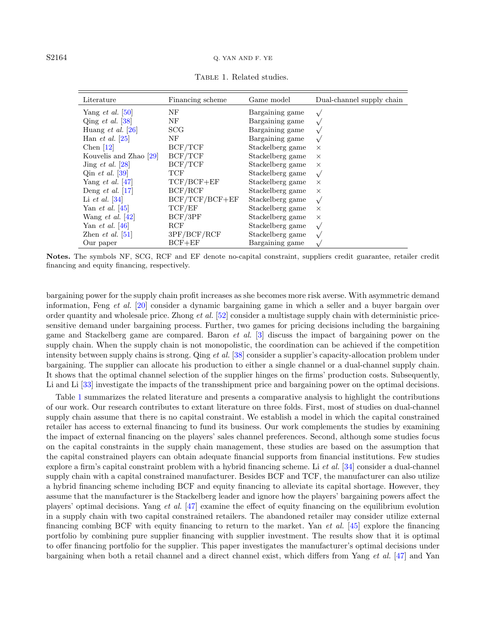| Literature                      | Financing scheme | Game model       | Dual-channel supply chain |
|---------------------------------|------------------|------------------|---------------------------|
| Yang <i>et al.</i> $ 50 $       | NF               | Bargaining game  |                           |
| Qing <i>et al.</i> $ 38 $       | NF               | Bargaining game  |                           |
| Huang <i>et al.</i> [26]        | <b>SCG</b>       | Bargaining game  |                           |
| Han <i>et al.</i> [25]          | NF               | Bargaining game  | $\sqrt{ }$                |
| Chen $[12]$                     | BCF/TCF          | Stackelberg game | $\times$                  |
| Kouvelis and Zhao [29]          | BCF/TCF          | Stackelberg game | $\times$                  |
| Jing <i>et al.</i> [28]         | BCF/TCF          | Stackelberg game | $\times$                  |
| Qin <i>et al.</i> [39]          | TCF              | Stackelberg game | $\sqrt{ }$                |
| Yang <i>et al.</i> $ 47 $       | $TCF/BCF+EF$     | Stackelberg game | $\times$                  |
| Deng <i>et al.</i> [17]         | BCF/RCF          | Stackelberg game | $\times$                  |
| Li <i>et al.</i> $ 34 $         | $BCF/TCF/BCF+EF$ | Stackelberg game | $\sqrt{ }$                |
| Yan <i>et al.</i> [45]          | TCF/EF           | Stackelberg game | $\times$                  |
| Wang <i>et al.</i> $ 42 $       | BCF/3PF          | Stackelberg game | $\times$                  |
| Yan <i>et al.</i> [46]          | RCF              | Stackelberg game | $\sqrt{ }$                |
| Zhen <i>et al.</i> $\boxed{51}$ | 3PF/BCF/RCF      | Stackelberg game | $\sqrt{ }$                |
| Our paper                       | $BCF + EF$       | Bargaining game  |                           |

<span id="page-3-0"></span>TABLE 1. Related studies.

Notes. The symbols NF, SCG, RCF and EF denote no-capital constraint, suppliers credit guarantee, retailer credit financing and equity financing, respectively.

bargaining power for the supply chain profit increases as she becomes more risk averse. With asymmetric demand information, Feng et al. [\[20\]](#page-17-29) consider a dynamic bargaining game in which a seller and a buyer bargain over order quantity and wholesale price. Zhong et al. [\[52\]](#page-18-6) consider a multistage supply chain with deterministic pricesensitive demand under bargaining process. Further, two games for pricing decisions including the bargaining game and Stackelberg game are compared. Baron et al. [\[3\]](#page-17-30) discuss the impact of bargaining power on the supply chain. When the supply chain is not monopolistic, the coordination can be achieved if the competition intensity between supply chains is strong. Qing et al. [\[38\]](#page-18-0) consider a supplier's capacity-allocation problem under bargaining. The supplier can allocate his production to either a single channel or a dual-channel supply chain. It shows that the optimal channel selection of the supplier hinges on the firms' production costs. Subsequently, Li and Li  $[33]$  investigate the impacts of the transshipment price and bargaining power on the optimal decisions.

Table [1](#page-3-0) summarizes the related literature and presents a comparative analysis to highlight the contributions of our work. Our research contributes to extant literature on three folds. First, most of studies on dual-channel supply chain assume that there is no capital constraint. We establish a model in which the capital constrained retailer has access to external financing to fund its business. Our work complements the studies by examining the impact of external financing on the players' sales channel preferences. Second, although some studies focus on the capital constraints in the supply chain management, these studies are based on the assumption that the capital constrained players can obtain adequate financial supports from financial institutions. Few studies explore a firm's capital constraint problem with a hybrid financing scheme. Li et al. [\[34\]](#page-18-17) consider a dual-channel supply chain with a capital constrained manufacturer. Besides BCF and TCF, the manufacturer can also utilize a hybrid financing scheme including BCF and equity financing to alleviate its capital shortage. However, they assume that the manufacturer is the Stackelberg leader and ignore how the players' bargaining powers affect the players' optimal decisions. Yang et al. [\[47\]](#page-18-4) examine the effect of equity financing on the equilibrium evolution in a supply chain with two capital constrained retailers. The abandoned retailer may consider utilize external financing combing BCF with equity financing to return to the market. Yan *et al.* [\[45\]](#page-18-1) explore the financing portfolio by combining pure supplier financing with supplier investment. The results show that it is optimal to offer financing portfolio for the supplier. This paper investigates the manufacturer's optimal decisions under bargaining when both a retail channel and a direct channel exist, which differs from Yang et al. [\[47\]](#page-18-4) and Yan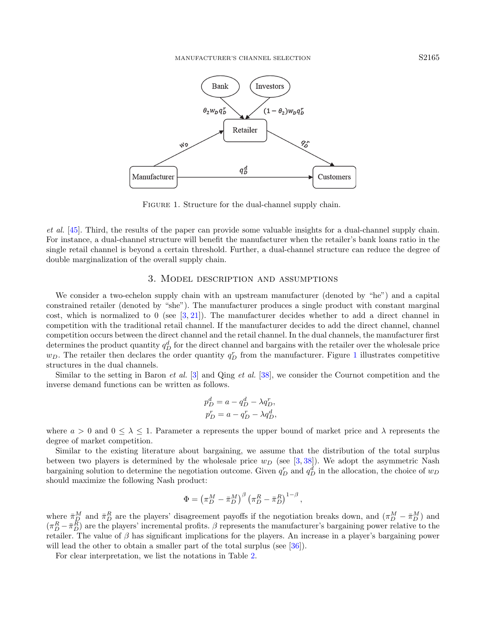<span id="page-4-1"></span>

FIGURE 1. Structure for the dual-channel supply chain.

et al. [\[45\]](#page-18-1). Third, the results of the paper can provide some valuable insights for a dual-channel supply chain. For instance, a dual-channel structure will benefit the manufacturer when the retailer's bank loans ratio in the single retail channel is beyond a certain threshold. Further, a dual-channel structure can reduce the degree of double marginalization of the overall supply chain.

### 3. Model description and assumptions

<span id="page-4-0"></span>We consider a two-echelon supply chain with an upstream manufacturer (denoted by "he") and a capital constrained retailer (denoted by "she"). The manufacturer produces a single product with constant marginal cost, which is normalized to 0 (see  $[3, 21]$  $[3, 21]$  $[3, 21]$ ). The manufacturer decides whether to add a direct channel in competition with the traditional retail channel. If the manufacturer decides to add the direct channel, channel competition occurs between the direct channel and the retail channel. In the dual channels, the manufacturer first  $\det$  determines the product quantity  $q_D^d$  for the direct channel and bargains with the retailer over the wholesale price  $w_D$ . The retailer then declares the order quantity  $q_D^r$  from the manufacturer. Figure [1](#page-4-1) illustrates competitive structures in the dual channels.

Similar to the setting in Baron *et al.* [\[3\]](#page-17-30) and Qing *et al.* [\[38\]](#page-18-0), we consider the Cournot competition and the inverse demand functions can be written as follows.

$$
p_D^d = a - q_D^d - \lambda q_D^r,
$$
  

$$
p_D^r = a - q_D^r - \lambda q_D^d,
$$

where  $a > 0$  and  $0 \leq \lambda \leq 1$ . Parameter a represents the upper bound of market price and  $\lambda$  represents the degree of market competition.

Similar to the existing literature about bargaining, we assume that the distribution of the total surplus between two players is determined by the wholesale price  $w<sub>D</sub>$  (see [\[3,](#page-17-30) [38\]](#page-18-0)). We adopt the asymmetric Nash bargaining solution to determine the negotiation outcome. Given  $q_D^r$  and  $q_D^d$  in the allocation, the choice of  $w_D$ should maximize the following Nash product:

$$
\Phi = \left(\pi_D^M - \bar{\pi}_D^M\right)^{\beta} \left(\pi_D^R - \bar{\pi}_D^R\right)^{1-\beta},
$$

where  $\bar{\pi}_{D}^{M}$  and  $\bar{\pi}_{D}^{R}$  are the players' disagreement payoffs if the negotiation breaks down, and  $(\pi_{D}^{M} - \bar{\pi}_{D}^{M})$  and  $(\pi_D^R - \bar{\pi}_D^R)$  are the players' incremental profits.  $\beta$  represents the manufacturer's bargaining power relative to the retailer. The value of  $\beta$  has significant implications for the players. An increase in a player's bargaining power will lead the other to obtain a smaller part of the total surplus (see [\[36\]](#page-18-14)).

For clear interpretation, we list the notations in Table [2.](#page-5-1)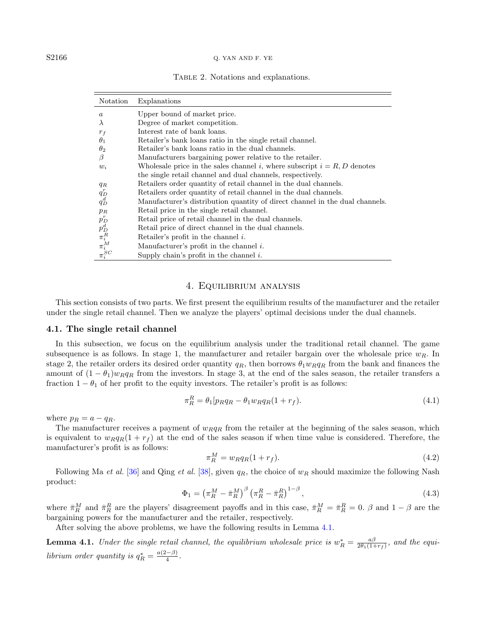#### S2166 Q. YAN AND F. YE

<span id="page-5-1"></span>

|  |  | TABLE 2. Notations and explanations. |  |  |  |
|--|--|--------------------------------------|--|--|--|
|--|--|--------------------------------------|--|--|--|

| Notation                                                                   | Explanations                                                                 |
|----------------------------------------------------------------------------|------------------------------------------------------------------------------|
| $\boldsymbol{a}$                                                           | Upper bound of market price.                                                 |
| $\lambda$                                                                  | Degree of market competition.                                                |
| $r_f$                                                                      | Interest rate of bank loans.                                                 |
| $\theta_1$                                                                 | Retailer's bank loans ratio in the single retail channel.                    |
| $\theta_2$                                                                 | Retailer's bank loans ratio in the dual channels.                            |
| β                                                                          | Manufacturers bargaining power relative to the retailer.                     |
| $w_i$                                                                      | Wholesale price in the sales channel i, where subscript $i = R, D$ denotes   |
|                                                                            | the single retail channel and dual channels, respectively.                   |
| $q_R$                                                                      | Retailers order quantity of retail channel in the dual channels.             |
| $q_D^r$                                                                    | Retailers order quantity of retail channel in the dual channels.             |
| $q_D^d$                                                                    | Manufacturer's distribution quantity of direct channel in the dual channels. |
| $p_R$                                                                      | Retail price in the single retail channel.                                   |
|                                                                            | Retail price of retail channel in the dual channels.                         |
|                                                                            | Retail price of direct channel in the dual channels.                         |
|                                                                            | Retailer's profit in the channel $i$ .                                       |
|                                                                            | Manufacturer's profit in the channel $i$ .                                   |
| $\begin{aligned} p_D^r\ p_D^d\ \pi_i^R\ \pi_i^M\ \pi_i^{SC} \end{aligned}$ | Supply chain's profit in the channel $i$ .                                   |

#### <span id="page-5-3"></span>4. Equilibrium analysis

<span id="page-5-0"></span>This section consists of two parts. We first present the equilibrium results of the manufacturer and the retailer under the single retail channel. Then we analyze the players' optimal decisions under the dual channels.

#### 4.1. The single retail channel

In this subsection, we focus on the equilibrium analysis under the traditional retail channel. The game subsequence is as follows. In stage 1, the manufacturer and retailer bargain over the wholesale price  $w_R$ . In stage 2, the retailer orders its desired order quantity  $q_R$ , then borrows  $\theta_1 w_R q_R$  from the bank and finances the amount of  $(1 - \theta_1)w_Rq_R$  from the investors. In stage 3, at the end of the sales season, the retailer transfers a fraction  $1 - \theta_1$  of her profit to the equity investors. The retailer's profit is as follows:

$$
\pi_R^R = \theta_1 [p_R q_R - \theta_1 w_R q_R (1 + r_f). \tag{4.1}
$$

where  $p_R = a - q_R$ .

The manufacturer receives a payment of  $w_Rq_R$  from the retailer at the beginning of the sales season, which is equivalent to  $w_Rq_R(1 + r_f)$  at the end of the sales season if when time value is considered. Therefore, the manufacturer's profit is as follows:

<span id="page-5-2"></span>
$$
\pi_R^M = w_R q_R (1 + r_f). \tag{4.2}
$$

Following Ma et al. [\[36\]](#page-18-14) and Qing et al. [\[38\]](#page-18-0), given  $q_R$ , the choice of  $w_R$  should maximize the following Nash product:

$$
\Phi_1 = \left(\pi_R^M - \bar{\pi}_R^M\right)^{\beta} \left(\pi_R^R - \bar{\pi}_R^R\right)^{1-\beta},\tag{4.3}
$$

where  $\bar{\pi}_R^M$  and  $\bar{\pi}_R^R$  are the players' disagreement payoffs and in this case,  $\bar{\pi}_R^M = \bar{\pi}_R^R = 0$ .  $\beta$  and  $1 - \beta$  are the bargaining powers for the manufacturer and the retailer, respectively.

After solving the above problems, we have the following results in Lemma [4.1.](#page-5-2)

**Lemma 4.1.** Under the single retail channel, the equilibrium wholesale price is  $w_R^* = \frac{a\beta}{2\theta_1(1+r_f)}$ , and the equilibrium order quantity is  $q_R^* = \frac{a(2-\beta)}{4}$  $\frac{(-\rho)}{4}$ .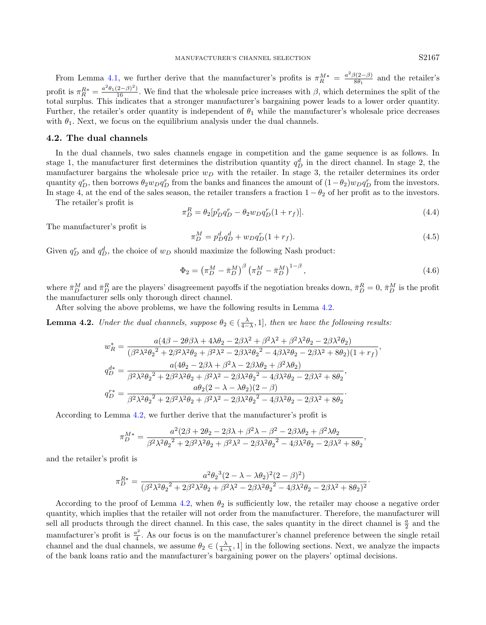<span id="page-6-2"></span>From Lemma [4.1,](#page-5-2) we further derive that the manufacturer's profits is  $\pi_R^{M*} = \frac{a^2 \beta (2-\beta)}{8\theta_1}$  and the retailer's  $8\theta_1$ profit is  $\pi_R^{R*} = \frac{a^2 \theta_1 (2-\beta)^2}{16}$ . We find that the wholesale price increases with  $\beta$ , which determines the split of the total surplus. This indicates that a stronger manufacturer's bargaining power leads to a lower order quantity. Further, the retailer's order quantity is independent of  $\theta_1$  while the manufacturer's wholesale price decreases with  $\theta_1$ . Next, we focus on the equilibrium analysis under the dual channels.

#### 4.2. The dual channels

In the dual channels, two sales channels engage in competition and the game sequence is as follows. In stage 1, the manufacturer first determines the distribution quantity  $q_D^d$  in the direct channel. In stage 2, the manufacturer bargains the wholesale price  $w_D$  with the retailer. In stage 3, the retailer determines its order quantity  $q_D^r$ , then borrows  $\theta_2 w_D q_D^r$  from the banks and finances the amount of  $(1-\theta_2)w_D q_D^r$  from the investors. In stage 4, at the end of the sales season, the retailer transfers a fraction  $1 - \theta_2$  of her profit as to the investors.

The retailer's profit is

$$
\pi_D^R = \theta_2 [p_D^r q_D^r - \theta_2 w_D q_D^r (1 + r_f)].\tag{4.4}
$$

The manufacturer's profit is

<span id="page-6-0"></span>
$$
\pi_D^M = p_D^d q_D^d + w_D q_D^r (1 + r_f). \tag{4.5}
$$

Given  $q_D^r$  and  $q_D^d$ , the choice of  $w_D$  should maximize the following Nash product:

$$
\Phi_2 = \left(\pi_D^M - \bar{\pi}_D^M\right)^{\beta} \left(\pi_D^M - \bar{\pi}_D^M\right)^{1-\beta},\tag{4.6}
$$

<span id="page-6-1"></span>·

where  $\bar{\pi}_D^M$  and  $\bar{\pi}_D^R$  are the players' disagreement payoffs if the negotiation breaks down,  $\bar{\pi}_D^R = 0$ ,  $\bar{\pi}_D^M$  is the profit the manufacturer sells only thorough direct channel.

After solving the above problems, we have the following results in Lemma [4.2.](#page-6-0)

**Lemma 4.2.** Under the dual channels, suppose  $\theta_2 \in (\frac{\lambda}{4-\lambda}, 1]$ , then we have the following results:

$$
w_R^* = \frac{a(4\beta - 2\theta\beta\lambda + 4\lambda\theta_2 - 2\beta\lambda^2 + \beta^2\lambda^2 + \beta^2\lambda^2\theta_2 - 2\beta\lambda^2\theta_2)}{(\beta^2\lambda^2\theta_2^2 + 2\beta^2\lambda^2\theta_2 + \beta^2\lambda^2 - 2\beta\lambda^2\theta_2^2 - 4\beta\lambda^2\theta_2 - 2\beta\lambda^2 + 8\theta_2)(1 + r_f)},
$$
  
\n
$$
q_D^{d*} = \frac{a(4\theta_2 - 2\beta\lambda + \beta^2\lambda - 2\beta\lambda\theta_2 + \beta^2\lambda\theta_2)}{\beta^2\lambda^2\theta_2^2 + 2\beta^2\lambda^2\theta_2 + \beta^2\lambda^2 - 2\beta\lambda^2\theta_2^2 - 4\beta\lambda^2\theta_2 - 2\beta\lambda^2 + 8\theta_2},
$$
  
\n
$$
q_D^{r*} = \frac{a\theta_2(2 - \lambda - \lambda\theta_2)(2 - \beta)}{\beta^2\lambda^2\theta_2^2 + 2\beta^2\lambda^2\theta_2 + \beta^2\lambda^2 - 2\beta\lambda^2\theta_2^2 - 4\beta\lambda^2\theta_2 - 2\beta\lambda^2 + 8\theta_2}.
$$

According to Lemma [4.2,](#page-6-0) we further derive that the manufacturer's profit is

$$
\pi_D^{M*} = \frac{a^2(2\beta + 2\theta_2 - 2\beta\lambda + \beta^2\lambda - \beta^2 - 2\beta\lambda\theta_2 + \beta^2\lambda\theta_2}{\beta^2\lambda^2\theta_2^2 + 2\beta^2\lambda^2\theta_2 + \beta^2\lambda^2 - 2\beta\lambda^2\theta_2^2 - 4\beta\lambda^2\theta_2 - 2\beta\lambda^2 + 8\theta_2},
$$

and the retailer's profit is

$$
\pi^{R*}_D=\frac{a^2\theta_2{}^3(2-\lambda-\lambda\theta_2)^2(2-\beta)^2)}{(\beta^2\lambda^2\theta_2{}^2+2\beta^2\lambda^2\theta_2+\beta^2\lambda^2-2\beta\lambda^2\theta_2{}^2-4\beta\lambda^2\theta_2-2\beta\lambda^2+8\theta_2)^2}
$$

According to the proof of Lemma [4.2,](#page-6-0) when  $\theta_2$  is sufficiently low, the retailer may choose a negative order quantity, which implies that the retailer will not order from the manufacturer. Therefore, the manufacturer will sell all products through the direct channel. In this case, the sales quantity in the direct channel is  $\frac{a}{2}$  and the manufacturer's profit is  $\frac{a^2}{4}$  $\frac{a^2}{4}$ . As our focus is on the manufacturer's channel preference between the single retail channel and the dual channels, we assume  $\theta_2 \in (\frac{\lambda}{4-\lambda}, 1]$  in the following sections. Next, we analyze the impacts of the bank loans ratio and the manufacturer's bargaining power on the players' optimal decisions.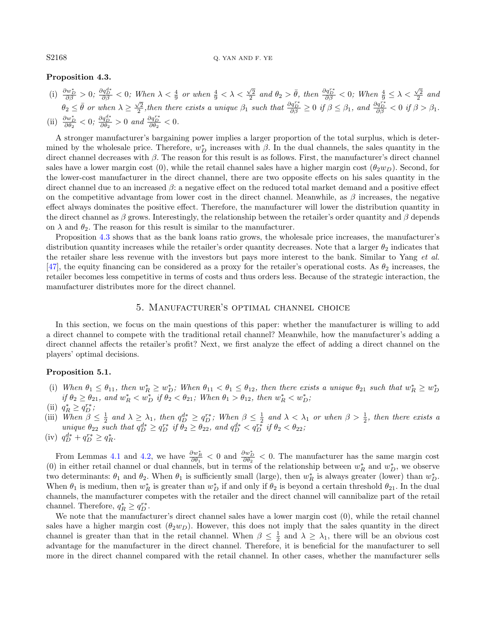#### S2168 Q. YAN AND F. YE

#### Proposition 4.3.

(i)  $\frac{\partial w_D^*}{\partial \beta} > 0$ ;  $\frac{\partial q_D^{d*}}{\partial \beta} < 0$ ; When  $\lambda < \frac{4}{9}$  or when  $\frac{4}{9} < \lambda < \frac{\sqrt{2}}{2}$  and  $\theta_2 > \bar{\theta}$ , then  $\frac{\partial q_D^{r*}}{\partial \beta} < 0$ ; When  $\frac{4}{9} \leq \lambda < \frac{\sqrt{2}}{2}$  and  $\theta_2 \leq \bar{\theta}$  or when  $\lambda \geq \frac{\sqrt{2}}{2}$ , then there exists a unique  $\beta_1$  such that  $\frac{\partial q_D^{r*}}{\partial \beta} \geq 0$  if  $\beta \leq \beta_1$ , and  $\frac{\partial q_D^{r*}}{\partial \beta} < 0$  if  $\beta > \beta_1$ . (ii)  $\frac{\partial w_D^*}{\partial \theta_2} < 0$ ;  $\frac{\partial q_D^{d*}}{\partial \theta_2} > 0$  and  $\frac{\partial q_D^{r*}}{\partial \theta_2} < 0$ .

A stronger manufacturer's bargaining power implies a larger proportion of the total surplus, which is determined by the wholesale price. Therefore,  $w_D^*$  increases with  $\beta$ . In the dual channels, the sales quantity in the direct channel decreases with  $\beta$ . The reason for this result is as follows. First, the manufacturer's direct channel sales have a lower margin cost (0), while the retail channel sales have a higher margin cost  $(\theta_2w_D)$ . Second, for the lower-cost manufacturer in the direct channel, there are two opposite effects on his sales quantity in the direct channel due to an increased  $\beta$ : a negative effect on the reduced total market demand and a positive effect on the competitive advantage from lower cost in the direct channel. Meanwhile, as  $\beta$  increases, the negative effect always dominates the positive effect. Therefore, the manufacturer will lower the distribution quantity in the direct channel as  $\beta$  grows. Interestingly, the relationship between the retailer's order quantity and  $\beta$  depends on  $\lambda$  and  $\theta_2$ . The reason for this result is similar to the manufacturer.

Proposition [4.3](#page-6-1) shows that as the bank loans ratio grows, the wholesale price increases, the manufacturer's distribution quantity increases while the retailer's order quantity decreases. Note that a larger  $\theta_2$  indicates that the retailer share less revenue with the investors but pays more interest to the bank. Similar to Yang et al. [\[47\]](#page-18-4), the equity financing can be considered as a proxy for the retailer's operational costs. As  $\theta_2$  increases, the retailer becomes less competitive in terms of costs and thus orders less. Because of the strategic interaction, the manufacturer distributes more for the direct channel.

## 5. Manufacturer's optimal channel choice

<span id="page-7-0"></span>In this section, we focus on the main questions of this paper: whether the manufacturer is willing to add a direct channel to compete with the traditional retail channel? Meanwhile, how the manufacturer's adding a direct channel affects the retailer's profit? Next, we first analyze the effect of adding a direct channel on the players' optimal decisions.

#### <span id="page-7-1"></span>Proposition 5.1.

- (i) When  $\theta_1 \leq \theta_{11}$ , then  $w_R^* \geq w_D^*$ ; When  $\theta_{11} < \theta_1 \leq \theta_{12}$ , then there exists a unique  $\theta_{21}$  such that  $w_R^* \geq w_D^*$  if  $\theta_2 \geq \theta_{21}$ , and  $w_R^* < w_D^*$  if  $\theta_2 < \theta_{21}$ ; When  $\theta_1 > \theta_{12}$ , then  $w_R^* < w$
- (ii)  $q_R^* \geq q_D^{r*}$ ;
- (iii) When  $\beta \leq \frac{1}{2}$  and  $\lambda \geq \lambda_1$ , then  $q_D^{d*} \geq q_D^{r*}$ ; When  $\beta \leq \frac{1}{2}$  and  $\lambda < \lambda_1$  or when  $\beta > \frac{1}{2}$ , then there exists a unique  $\theta_{22}$  such that  $q_D^{d*} \ge q_D^{r*}$  if  $\theta_2 \ge \theta_{22}$ , and  $q_D^{d*} < q_D^{r*}$  if  $\theta_2 < \theta_{22}$ ;
- (iv)  $q_D^{d*} + q_D^{r*} \ge q_R^*$ .

From Lemmas [4.1](#page-5-2) and [4.2,](#page-6-0) we have  $\frac{\partial w_R^*}{\partial \theta_1} < 0$  and  $\frac{\partial w_D^*}{\partial \theta_2} < 0$ . The manufacturer has the same margin cost (0) in either retail channel or dual channels, but in terms of the relationship between  $w_R^*$  and  $w_D^*$ , we observe two determinants:  $\theta_1$  and  $\theta_2$ . When  $\theta_1$  is sufficiently small (large), then  $w_R^*$  is always greater (lower) than  $w_D^*$ . When  $\theta_1$  is medium, then  $w_R^*$  is greater than  $w_D^*$  if and only if  $\theta_2$  is beyond a certain threshold  $\theta_{21}$ . In the dual channels, the manufacturer competes with the retailer and the direct channel will cannibalize part of the retail channel. Therefore,  $q_R^* \geq q_D^{r*}$ .

We note that the manufacturer's direct channel sales have a lower margin cost  $(0)$ , while the retail channel sales have a higher margin cost  $(\theta_2 w_D)$ . However, this does not imply that the sales quantity in the direct channel is greater than that in the retail channel. When  $\beta \leq \frac{1}{2}$  and  $\lambda \geq \lambda_1$ , there will be an obvious cost advantage for the manufacturer in the direct channel. Therefore, it is beneficial for the manufacturer to sell more in the direct channel compared with the retail channel. In other cases, whether the manufacturer sells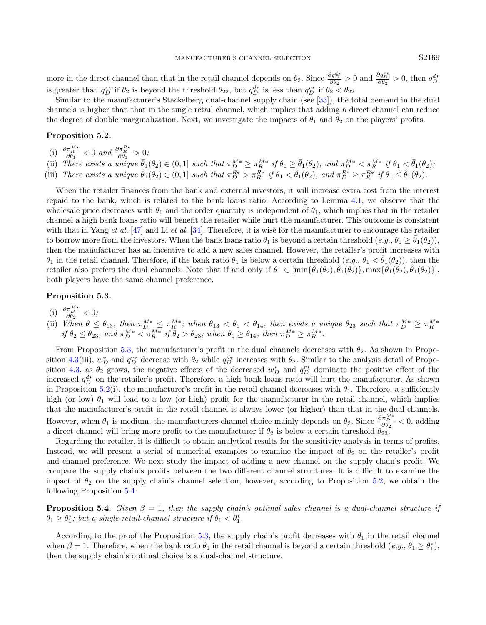<span id="page-8-1"></span>more in the direct channel than that in the retail channel depends on  $\theta_2$ . Since  $\frac{\partial q_D^{d*}}{\partial \theta_2} > 0$  and  $\frac{\partial q_D^{r*}}{\partial \theta_2} > 0$ , then  $q_D^{d*}$ is greater than  $q_D^{r*}$  if  $\theta_2$  is beyond the threshold  $\theta_{22}$ , but  $q_D^{d*}$  is less than  $q_D^{r*}$  if  $\theta_2 < \theta_{22}$ .

Similar to the manufacturer's Stackelberg dual-channel supply chain (see [\[33\]](#page-17-31)), the total demand in the dual channels is higher than that in the single retail channel, which implies that adding a direct channel can reduce the degree of double marginalization. Next, we investigate the impacts of  $\theta_1$  and  $\theta_2$  on the players' profits.

## Proposition 5.2.

- <span id="page-8-0"></span>(i)  $\frac{\partial \pi_R^{M*}}{\partial \theta_1} < 0$  and  $\frac{\partial \pi_R^{R*}}{\partial \theta_1} > 0$ ;
- (ii) There exists a unique  $\bar{\theta}_1(\theta_2) \in (0,1]$  such that  $\pi_D^{M*} \geq \pi_R^{M*}$  if  $\theta_1 \geq \bar{\theta}_1(\theta_2)$ , and  $\pi_D^{M*} < \pi_R^{M*}$  if  $\theta_1 < \bar{\theta}_1(\theta_2)$ ; (iii) There exists a unique  $\hat{\theta}_1(\theta_2) \in (0,1]$  such that  $\pi_D^{R*} > \pi_R^{R*}$  if  $\theta_1 < \hat{\theta}_1(\theta_2)$ , and  $\pi_D^{R*} \geq \pi_R^{R*}$  if  $\theta_1 \leq \hat{\theta}_1(\theta_2)$ .

When the retailer finances from the bank and external investors, it will increase extra cost from the interest repaid to the bank, which is related to the bank loans ratio. According to Lemma [4.1,](#page-5-2) we observe that the wholesale price decreases with  $\theta_1$  and the order quantity is independent of  $\theta_1$ , which implies that in the retailer channel a high bank loans ratio will benefit the retailer while hurt the manufacturer. This outcome is consistent with that in Yang et al.  $[47]$  and Li et al.  $[34]$ . Therefore, it is wise for the manufacturer to encourage the retailer to borrow more from the investors. When the bank loans ratio  $\theta_1$  is beyond a certain threshold  $(e.g., \theta_1 \ge \theta_1(\theta_2))$ . then the manufacturer has an incentive to add a new sales channel. However, the retailer's profit increases with  $\theta_1$  in the retail channel. Therefore, if the bank ratio  $\theta_1$  is below a certain threshold  $(e.g., \theta_1 < \theta_1(\theta_2))$ , then the retailer also prefers the dual channels. Note that if and only if  $\theta_1 \in [\min{\{\bar{\theta}_1(\theta_2), \hat{\theta}_1(\theta_2)\}}, \max{\{\bar{\theta}_1(\theta_2), \hat{\theta}_1(\theta_2)\}}]$ both players have the same channel preference.

#### Proposition 5.3.

- (i)  $\frac{\partial \pi_D^{M*}}{\partial \theta_2} < 0;$
- (ii) When  $\theta \leq \theta_{13}$ , then  $\pi_D^{M*} \leq \pi_R^{M*}$ ; when  $\theta_{13} < \theta_1 < \theta_{14}$ , then exists a unique  $\theta_{23}$  such that  $\pi_D^{M*} \geq \pi_R^{M*}$ <br>if  $\theta_2 \leq \theta_{23}$ , and  $\pi_D^{M*} < \pi_R^{M*}$  if  $\theta_2 > \theta_{23}$ ; when  $\theta_1 \geq \theta_{14}$ , t

From Proposition [5.3,](#page-8-0) the manufacturer's profit in the dual channels decreases with  $\theta_2$ . As shown in Propo-sition [4.3\(](#page-6-1)iii),  $w_D^*$  and  $q_D^{r*}$  decrease with  $\theta_2$  while  $q_D^{d*}$  increases with  $\theta_2$ . Similar to the analysis detail of Propo-sition [4.3,](#page-6-1) as  $\theta_2$  grows, the negative effects of the decreased  $w_D^*$  and  $q_D^{r*}$  dominate the positive effect of the increased  $q_D^{d*}$  on the retailer's profit. Therefore, a high bank loans ratio will hurt the manufacturer. As shown in Proposition [5.2\(](#page-8-1)i), the manufacturer's profit in the retail channel decreases with  $\theta_1$ . Therefore, a sufficiently high (or low)  $\theta_1$  will lead to a low (or high) profit for the manufacturer in the retail channel, which implies that the manufacturer's profit in the retail channel is always lower (or higher) than that in the dual channels. However, when  $\theta_1$  is medium, the manufacturers channel choice mainly depends on  $\theta_2$ . Since  $\frac{\partial \pi_{D}^{M*}}{\partial \theta_2} < 0$ , adding a direct channel will bring more profit to the manufacturer if  $\theta_2$  is below a certain threshold  $\theta_{23}$ .

Regarding the retailer, it is difficult to obtain analytical results for the sensitivity analysis in terms of profits. Instead, we will present a serial of numerical examples to examine the impact of  $\theta_2$  on the retailer's profit and channel preference. We next study the impact of adding a new channel on the supply chain's profit. We compare the supply chain's profits between the two different channel structures. It is difficult to examine the impact of  $\theta_2$  on the supply chain's channel selection, however, according to Proposition [5.2,](#page-8-1) we obtain the following Proposition [5.4.](#page-8-2)

<span id="page-8-2"></span>**Proposition 5.4.** Given  $\beta = 1$ , then the supply chain's optimal sales channel is a dual-channel structure if  $\theta_1 \geq \theta_1^*$ ; but a single retail-channel structure if  $\theta_1 < \theta_1^*$ .

According to the proof the Proposition [5.3,](#page-8-0) the supply chain's profit decreases with  $\theta_1$  in the retail channel when  $\beta = 1$ . Therefore, when the bank ratio  $\theta_1$  in the retail channel is beyond a certain threshold  $(e.g., \theta_1 \ge \theta_1^*)$ , then the supply chain's optimal choice is a dual-channel structure.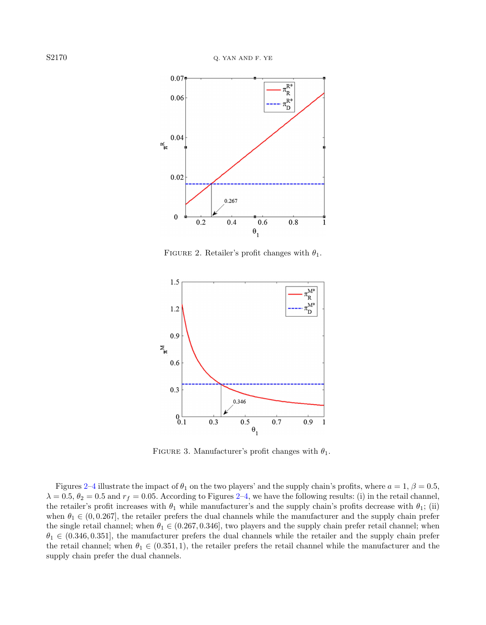<span id="page-9-0"></span>

FIGURE 2. Retailer's profit changes with  $\theta_1$ .



FIGURE 3. Manufacturer's profit changes with  $\theta_1$ .

Figures [2–](#page-9-0)[4](#page-10-0) illustrate the impact of  $\theta_1$  on the two players' and the supply chain's profits, where  $a = 1, \beta = 0.5$ ,  $\lambda = 0.5$ ,  $\theta_2 = 0.5$  and  $r_f = 0.05$ . According to Figures [2–](#page-9-0)[4,](#page-10-0) we have the following results: (i) in the retail channel, the retailer's profit increases with  $\theta_1$  while manufacturer's and the supply chain's profits decrease with  $\theta_1$ ; (ii) when  $\theta_1 \in (0, 0.267]$ , the retailer prefers the dual channels while the manufacturer and the supply chain prefer the single retail channel; when  $\theta_1 \in (0.267, 0.346]$ , two players and the supply chain prefer retail channel; when  $\theta_1 \in (0.346, 0.351]$ , the manufacturer prefers the dual channels while the retailer and the supply chain prefer the retail channel; when  $\theta_1 \in (0.351, 1)$ , the retailer prefers the retail channel while the manufacturer and the supply chain prefer the dual channels.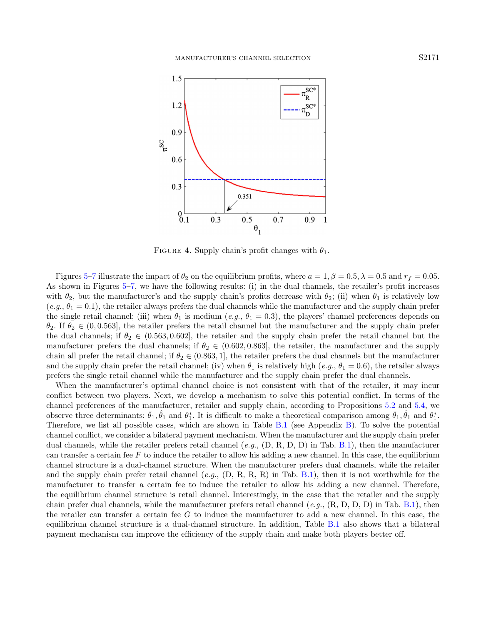<span id="page-10-0"></span>

FIGURE 4. Supply chain's profit changes with  $\theta_1$ .

Figures [5–](#page-11-0)[7](#page-12-1) illustrate the impact of  $\theta_2$  on the equilibrium profits, where  $a = 1, \beta = 0.5, \lambda = 0.5$  and  $r_f = 0.05$ . As shown in Figures [5–](#page-11-0)[7,](#page-12-1) we have the following results: (i) in the dual channels, the retailer's profit increases with  $\theta_2$ , but the manufacturer's and the supply chain's profits decrease with  $\theta_2$ ; (ii) when  $\theta_1$  is relatively low  $(e.g., \theta_1 = 0.1)$ , the retailer always prefers the dual channels while the manufacturer and the supply chain prefer the single retail channel; (iii) when  $\theta_1$  is medium (e.g.,  $\theta_1 = 0.3$ ), the players' channel preferences depends on  $\theta_2$ . If  $\theta_2 \in (0, 0.563]$ , the retailer prefers the retail channel but the manufacturer and the supply chain prefer the dual channels; if  $\theta_2 \in (0.563, 0.602]$ , the retailer and the supply chain prefer the retail channel but the manufacturer prefers the dual channels; if  $\theta_2 \in (0.602, 0.863]$ , the retailer, the manufacturer and the supply chain all prefer the retail channel; if  $\theta_2 \in (0.863, 1]$ , the retailer prefers the dual channels but the manufacturer and the supply chain prefer the retail channel; (iv) when  $\theta_1$  is relatively high (e.g.,  $\theta_1 = 0.6$ ), the retailer always prefers the single retail channel while the manufacturer and the supply chain prefer the dual channels.

When the manufacturer's optimal channel choice is not consistent with that of the retailer, it may incur conflict between two players. Next, we develop a mechanism to solve this potential conflict. In terms of the channel preferences of the manufacturer, retailer and supply chain, according to Propositions [5.2](#page-8-1) and [5.4,](#page-8-2) we observe three determinants:  $\bar{\theta}_1$ ,  $\hat{\theta}_1$  and  $\theta_1^*$ . It is difficult to make a theoretical comparison among  $\bar{\theta}_1$ ,  $\hat{\theta}_1$  and  $\theta_1^*$ . Therefore, we list all possible cases, which are shown in Table [B.1](#page-16-0) (see Appendix [B\)](#page-16-1). To solve the potential channel conflict, we consider a bilateral payment mechanism. When the manufacturer and the supply chain prefer dual channels, while the retailer prefers retail channel (e.g.,  $(D, R, D, D)$  in Tab. [B.1\)](#page-16-0), then the manufacturer can transfer a certain fee  $F$  to induce the retailer to allow his adding a new channel. In this case, the equilibrium channel structure is a dual-channel structure. When the manufacturer prefers dual channels, while the retailer and the supply chain prefer retail channel  $(e.q., (D, R, R, R)$  in Tab. [B.1\)](#page-16-0), then it is not worthwhile for the manufacturer to transfer a certain fee to induce the retailer to allow his adding a new channel. Therefore, the equilibrium channel structure is retail channel. Interestingly, in the case that the retailer and the supply chain prefer dual channels, while the manufacturer prefers retail channel  $(e.g., (R, D, D, D)$  in Tab. [B.1\)](#page-16-0), then the retailer can transfer a certain fee G to induce the manufacturer to add a new channel. In this case, the equilibrium channel structure is a dual-channel structure. In addition, Table [B.1](#page-16-0) also shows that a bilateral payment mechanism can improve the efficiency of the supply chain and make both players better off.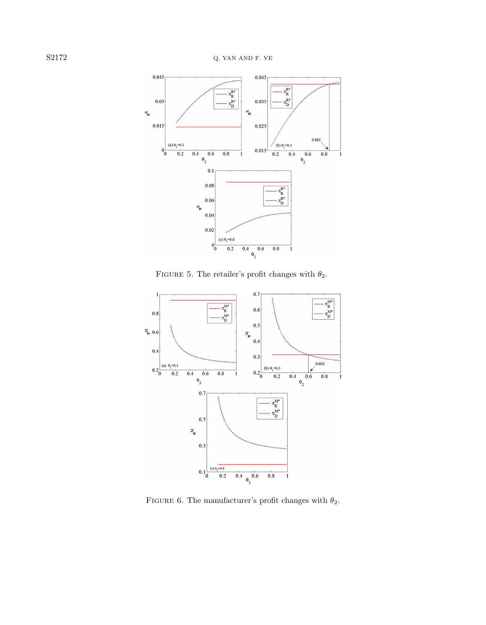<span id="page-11-0"></span>

FIGURE 5. The retailer's profit changes with  $\theta_2$ .



FIGURE 6. The manufacturer's profit changes with  $\theta_2.$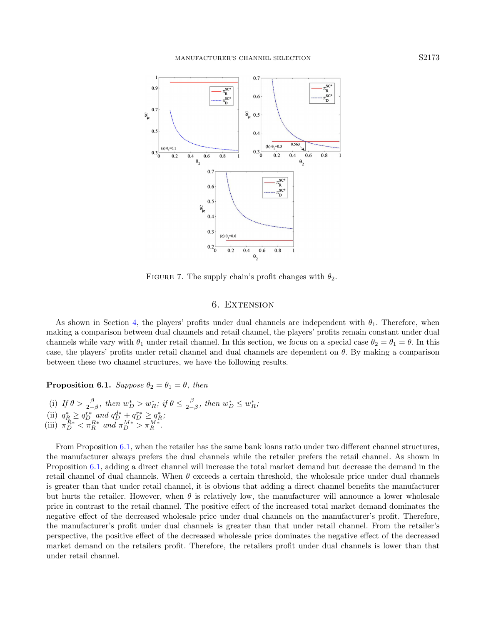<span id="page-12-1"></span>

FIGURE 7. The supply chain's profit changes with  $\theta_2$ .

# 6. EXTENSION

<span id="page-12-0"></span>As shown in Section [4,](#page-5-0) the players' profits under dual channels are independent with  $\theta_1$ . Therefore, when making a comparison between dual channels and retail channel, the players' profits remain constant under dual channels while vary with  $\theta_1$  under retail channel. In this section, we focus on a special case  $\theta_2 = \theta_1 = \theta$ . In this case, the players' profits under retail channel and dual channels are dependent on  $\theta$ . By making a comparison between these two channel structures, we have the following results.

<span id="page-12-2"></span>**Proposition 6.1.** Suppose  $\theta_2 = \theta_1 = \theta$ , then

(i) If  $\theta > \frac{\beta}{2-\beta}$ , then  $w_D^* > w_R^*$ ; if  $\theta \leq \frac{\beta}{2-\beta}$ , then  $w_D^* \leq w_R^*$ ; (ii)  $q_R^* \ge q_D^{r*}$  and  $q_D^{d*} + q_D^{r*} \ge q_R^*$ ; (iii)  $\pi_D^{R*} < \pi_R^{R*}$  and  $\pi_D^{M*} > \pi_R^{M*}$ .

From Proposition [6.1,](#page-12-2) when the retailer has the same bank loans ratio under two different channel structures, the manufacturer always prefers the dual channels while the retailer prefers the retail channel. As shown in Proposition [6.1,](#page-12-2) adding a direct channel will increase the total market demand but decrease the demand in the retail channel of dual channels. When  $\theta$  exceeds a certain threshold, the wholesale price under dual channels is greater than that under retail channel, it is obvious that adding a direct channel benefits the manufacturer but hurts the retailer. However, when  $\theta$  is relatively low, the manufacturer will announce a lower wholesale price in contrast to the retail channel. The positive effect of the increased total market demand dominates the negative effect of the decreased wholesale price under dual channels on the manufacturer's profit. Therefore, the manufacturer's profit under dual channels is greater than that under retail channel. From the retailer's perspective, the positive effect of the decreased wholesale price dominates the negative effect of the decreased market demand on the retailers profit. Therefore, the retailers profit under dual channels is lower than that under retail channel.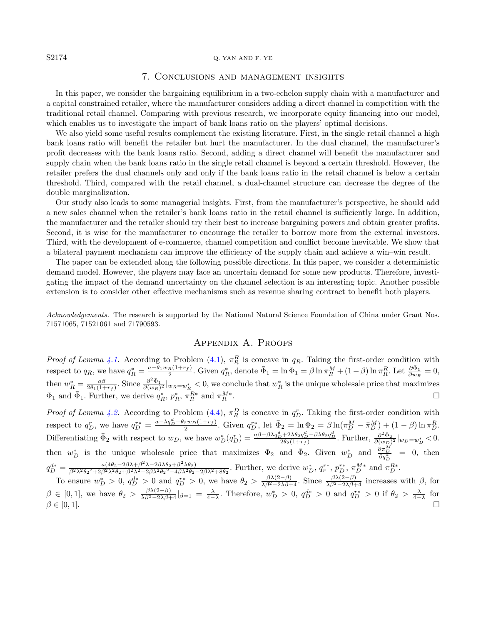#### <span id="page-13-0"></span>S2174 Q. YAN AND F. YE

# 7. Conclusions and management insights

In this paper, we consider the bargaining equilibrium in a two-echelon supply chain with a manufacturer and a capital constrained retailer, where the manufacturer considers adding a direct channel in competition with the traditional retail channel. Comparing with previous research, we incorporate equity financing into our model, which enables us to investigate the impact of bank loans ratio on the players' optimal decisions.

We also yield some useful results complement the existing literature. First, in the single retail channel a high bank loans ratio will benefit the retailer but hurt the manufacturer. In the dual channel, the manufacturer's profit decreases with the bank loans ratio. Second, adding a direct channel will benefit the manufacturer and supply chain when the bank loans ratio in the single retail channel is beyond a certain threshold. However, the retailer prefers the dual channels only and only if the bank loans ratio in the retail channel is below a certain threshold. Third, compared with the retail channel, a dual-channel structure can decrease the degree of the double marginalization.

Our study also leads to some managerial insights. First, from the manufacturer's perspective, he should add a new sales channel when the retailer's bank loans ratio in the retail channel is sufficiently large. In addition, the manufacturer and the retailer should try their best to increase bargaining powers and obtain greater profits. Second, it is wise for the manufacturer to encourage the retailer to borrow more from the external investors. Third, with the development of e-commerce, channel competition and conflict become inevitable. We show that a bilateral payment mechanism can improve the efficiency of the supply chain and achieve a win–win result.

The paper can be extended along the following possible directions. In this paper, we consider a deterministic demand model. However, the players may face an uncertain demand for some new products. Therefore, investigating the impact of the demand uncertainty on the channel selection is an interesting topic. Another possible extension is to consider other effective mechanisms such as revenue sharing contract to benefit both players.

Acknowledgements. The research is supported by the National Natural Science Foundation of China under Grant Nos. 71571065, 71521061 and 71790593.

# Appendix A. Proofs

*Proof of Lemma [4.1.](#page-5-2)* According to Problem [\(4.1\)](#page-5-3),  $\pi_R^R$  is concave in  $q_R$ . Taking the first-order condition with respect to  $q_R$ , we have  $q_R^* = \frac{a - \theta_1 w_R(1 + r_f)}{2}$ . Given  $q_R^*$ , denote  $\bar{\Phi}_1 = \ln \Phi_1 = \beta \ln \pi_R^M + (1 - \beta) \ln \pi_R^R$ . Let  $\frac{\partial \bar{\Phi}_1}{\partial w_R} = 0$ , then  $w_R^* = \frac{a\beta}{2\theta_1(1+r_f)}$ . Since  $\frac{\partial^2 \Phi_1}{\partial (w_R)^2}|_{w_R=w_R^*} < 0$ , we conclude that  $w_R^*$  is the unique wholesale price that maximizes  $\Phi_1$  and  $\bar{\Phi}_1$ . Further, we derive  $q_R^*$ ,  $p_R^*$ ,  $\pi_R^{R*}$  and  $\pi_R^{M*}$  $\mathbb{R}^{M*}$ .

*Proof of Lemma [4.2.](#page-6-0)* According to Problem [\(4.4\)](#page-6-2),  $\pi_R^D$  is concave in  $q_D^r$ . Taking the first-order condition with respect to  $q_D^r$ , we have  $q_D^{r*} = \frac{a - \lambda q_D^d - \theta_2 w_D(1+r_f)}{2}$ . Given  $q_D^{r*}$ , let  $\bar{\Phi}_2 = \ln \Phi_2 = \beta \ln(\pi_D^M - \bar{\pi}_D^M) + (1 - \beta) \ln \pi_D^R$ . Differentiating  $\bar{\Phi}_2$  with respect to  $w_D$ , we have  $w_D^*(q_D^r) = \frac{a\beta - \beta\lambda q_D^d + 2\lambda \theta_2 q_D^d - \beta\lambda \theta_2 q_D^d}{2\theta_2(1+r_f)}$ . Further,  $\frac{\partial^2 \bar{\Phi}_2}{\partial (w_D)^2}|_{w_D=w_D^*} < 0$ . then  $w_D^*$  is the unique wholesale price that maximizes  $\Phi_2$  and  $\bar{\Phi}_2$ . Given  $w_D^*$  and  $\frac{\partial \pi_D^M}{\partial q_D^d} = 0$ , then D  $q_D^{d*} = \frac{a(4\theta_2 - 2\beta\lambda + \beta^2\lambda - 2\beta\lambda\theta_2 + \beta^2\lambda\theta_2)}{\beta^2\lambda^2\theta_2^2 + 2\beta^2\lambda^2\theta_2 + \beta^2\lambda^2 - 2\beta\lambda^2\theta_2^2 - 4\beta\lambda^2\theta_2}$  $\frac{a(4\theta_2-2\beta\lambda+\beta^2\lambda-2\beta\lambda\theta_2+\beta^2\lambda\theta_2)}{\beta^2\lambda^2\theta_2^2+2\beta^2\lambda^2\theta_2^2+\beta^2\lambda^2\theta_2^2-4\beta\lambda^2\theta_2-2\beta\lambda^2+8\theta_2}$ . Further, we derive  $w_D^*, q_r^{r*}, p_D^{r*}, \pi_D^{M*}$  and  $\pi_D^{R*}$ .

To ensure  $w_D^* > 0$ ,  $q_D^{d*} > 0$  and  $q_D^{r*} > 0$ , we have  $\theta_2 > \frac{\beta \lambda (2-\beta)}{\lambda \beta^2 - 2\lambda \beta + 4}$ . Since  $\frac{\beta \lambda (2-\beta)}{\lambda \beta^2 - 2\lambda \beta + 4}$  increases with  $\beta$ , for  $\beta \in [0,1],$  we have  $\theta_2 > \frac{\beta \lambda (2-\beta)}{\lambda \beta^2 - 2\lambda \beta + 4}|_{\beta=1} = \frac{\lambda}{4-\lambda}$ . Therefore,  $w_D^* > 0$ ,  $q_D^{d*} > 0$  and  $q_D^{r*} > 0$  if  $\theta_2 > \frac{\lambda}{4-\lambda}$  for  $\beta \in [0,1].$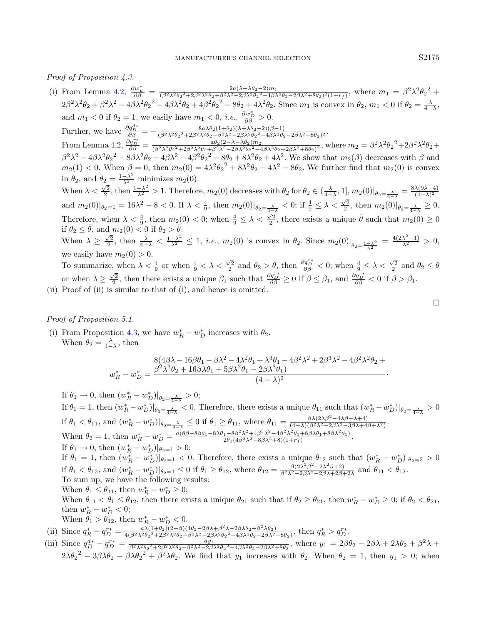Proof of Proposition [4.3.](#page-6-1)

- (i) From Lemma [4.2,](#page-6-0)  $\frac{\partial w_D^*}{\partial \beta} = \frac{2a(\lambda + \lambda\theta_2 2)m_1}{(\beta^2\lambda^2\theta_2^2 + 2\beta^2\lambda^2\theta_2 + \beta^2\lambda^2 2\beta\lambda^2\theta_2^2 4\beta)}$  $\frac{2a(\lambda+\lambda\theta_2-2)m_1}{(\beta^2\lambda^2\theta_2^2+2\beta^2\lambda^2\theta_2+\beta^2\lambda^2-2\beta\lambda^2\theta_2^2-4\beta\lambda^2\theta_2-2\beta\lambda^2+8\theta_2)^2(1+r_f)},$  where  $m_1=\beta^2\lambda^2\theta_2^2+2\beta^2\lambda^2\theta_2^2$  $2\beta^2\lambda^2\theta_2+\beta^2\lambda^2-4\beta\lambda^2\theta_2^2-4\beta\lambda^2\theta_2+4\beta^2\theta_2^2-8\theta_2+4\lambda^2\theta_2$ . Since  $m_1$  is convex in  $\theta_2$ ,  $m_1 < 0$  if  $\theta_2 = \frac{\lambda}{4-\lambda}$ .  $4-\lambda$ and  $m_1 < 0$  if  $\theta_2 = 1$ , we easily have  $m_1 < 0$ , *i.e.*,  $\frac{\partial w_D^*}{\partial \beta} > 0$ . Further, we have  $\frac{\partial q_D^{d*}}{\partial \beta} = -\frac{8a\lambda\theta_2(1+\theta_2)(\lambda+\lambda\theta_2-2)(\beta-1)}{(\beta^2\lambda^2\theta_2^2+\beta\beta^2\lambda^2\theta_2+\beta^2\lambda^2-2\beta\lambda^2\theta_2^2-4\beta\lambda^2\theta_2^2)}$  $\frac{\alpha\lambda\sigma_2(1+\sigma_2)(\lambda+\lambda\sigma_2-2)(\beta-1)}{(\beta^2\lambda^2\theta_2^2+2\beta^2\lambda^2\theta_2+\beta^2\lambda^2-2\beta\lambda^2\theta_2^2-4\beta\lambda^2\theta_2-2\beta\lambda^2+8\theta_2)^2}.$ From Lemma [4.2,](#page-6-0)  $\frac{\partial q_D^{r*}}{\partial \beta} = \frac{a\theta_2(2-\lambda-\lambda\theta_2)m_2}{(\beta^2\lambda^2\theta_2^2+\beta^2\lambda^2\theta_2+\beta^2\lambda^2-2\beta\lambda^2\theta_2^2-\lambda^2)}$  $\frac{a\theta_2(2-\lambda-\lambda\theta_2)m_2}{(\beta^2\lambda^2\theta_2^2+2\beta^2\lambda^2\theta_2+\beta^2\lambda^2-2\beta\lambda^2\theta_2^2-4\beta\lambda^2\theta_2-2\beta\lambda^2+8\theta_2)^2}$ , where  $m_2=\beta^2\lambda^2\theta_2^2+2\beta^2\lambda^2\theta_2+2\beta^2\lambda^2\theta_2+2\beta^2\lambda^2\theta_2+2\beta^2\lambda^2\theta_2+2\beta^2\lambda^2\theta_2+2\beta^2\lambda^2\theta_2+2\beta^2\lambda$  $\beta^2\lambda^2 - 4\beta\lambda^2\theta_2^2 - 8\beta\lambda^2\theta_2 - 4\beta\lambda^2 + 4\beta^2\theta_2^2 - 8\theta_2 + 8\lambda^2\theta_2 + 4\lambda^2$ . We show that  $m_2(\beta)$  decreases with  $\beta$  and  $m_2(1) < 0$ . When  $\beta = 0$ , then  $m_2(0) = 4\lambda^2 \theta_2^2 + 8\lambda^2 \theta_2 + 4\lambda^2 - 8\theta_2$ . We further find that  $m_2(0)$  is convex in  $\theta_2$ , and  $\theta_2 = \frac{1-\lambda^2}{\lambda^2}$  minimizes  $m_2(0)$ . When  $\lambda < \frac{\sqrt{2}}{2}$ , then  $\frac{1-\lambda^2}{\lambda^2} > 1$ . Therefore,  $m_2(0)$  decreases with  $\theta_2$  for  $\theta_2 \in (\frac{\lambda}{4-\lambda}, 1]$ ,  $m_2(0)|_{\theta_2=\frac{\lambda}{4-\lambda}} = \frac{8\lambda(9\lambda-4)}{(4-\lambda)^2}$  $(4-\lambda)^2$ and  $m_2(0)|_{\theta_2=1} = 16\lambda^2 - 8 < 0$ . If  $\lambda < \frac{4}{9}$ , then  $m_2(0)|_{\theta_2=\frac{\lambda}{4-\lambda}} < 0$ ; if  $\frac{4}{9} \leq \lambda < \frac{\sqrt{2}}{2}$ , then  $m_2(0)|_{\theta_2=\frac{\lambda}{4-\lambda}} \geq 0$ . Therefore, when  $\lambda < \frac{4}{9}$ , then  $m_2(0) < 0$ ; when  $\frac{4}{9} \leq \lambda < \frac{\sqrt{2}}{2}$ , there exists a unique  $\bar{\theta}$  such that  $m_2(0) \geq 0$ if  $\theta_2 \leq \bar{\theta}$ , and  $m_2(0) < 0$  if  $\theta_2 > \bar{\theta}$ . When  $\lambda \geq \frac{\sqrt{2}}{2}$ , then  $\frac{\lambda}{4-\lambda} < \frac{1-\lambda^2}{\lambda^2} \leq 1$ , *i.e.*,  $m_2(0)$  is convex in  $\theta_2$ . Since  $m_2(0)|_{\theta_2=\frac{1-\lambda^2}{\lambda^2}} = \frac{4(2\lambda^2-1)}{\lambda^2} > 0$ , we easily have  $m_2(0) > 0$ . To summarize, when  $\lambda < \frac{4}{9}$  or when  $\frac{4}{9} < \lambda < \frac{\sqrt{2}}{2}$  and  $\theta_2 > \bar{\theta}$ , then  $\frac{\partial q_{\rho}^{r*}}{\partial \beta} < 0$ ; when  $\frac{4}{9} \leq \lambda < \frac{\sqrt{2}}{2}$  and  $\theta_2 \leq \bar{\theta}$ or when  $\lambda \geq \frac{\sqrt{2}}{2}$ , then there exists a unique  $\beta_1$  such that  $\frac{\partial q_D^{r*}}{\partial \beta} \geq 0$  if  $\beta \leq \beta_1$ , and  $\frac{\partial q_D^{r*}}{\partial \beta} < 0$  if  $\beta > \beta_1$ .
- (ii) Proof of (ii) is similar to that of (i), and hence is omitted.

Proof of Proposition [5.1.](#page-7-1)

(i) From Proposition [4.3,](#page-6-1) we have  $w_R^* - w_D^*$  increases with  $\theta_2$ . When  $\theta_2 = \frac{\lambda}{4-\lambda}$ , then

$$
w_R^* - w_D^* = \frac{8(4\beta\lambda - 16\beta\theta_1 - \beta\lambda^2 - 4\lambda^2\theta_1 + \lambda^3\theta_1 - 4\beta^2\lambda^2 + 2\beta^3\lambda^2 - 4\beta^2\lambda^2\theta_2 + \mu_R^* - w_D^* = \frac{\beta^2\lambda^3\theta_2 + 16\beta\lambda\theta_1 + 5\beta\lambda^2\theta_1 - 2\beta\lambda^3\theta_1}{(4 - \lambda)^2}.
$$

If  $\theta_1 \to 0$ , then  $(w_R^* - w_D^*)|_{\theta_2 = \frac{\lambda}{4 - \lambda}} > 0$ ; If  $\theta_1 = 1$ , then  $(w_R^* - w_D^*)|_{\theta_2 = \frac{\lambda}{4-\lambda}} < 0$ . Therefore, there exists a unique  $\theta_{11}$  such that  $(w_R^* - w_D^*)|_{\theta_2 = \frac{\lambda}{4-\lambda}} > 0$  $4-\lambda$ if  $\theta_1 < \theta_{11}$ , and  $(w_R^* - w_D^*)|_{\theta_2 = \frac{\lambda}{4-\lambda}} \leq 0$  if  $\theta_1 \geq \theta_{11}$ , where  $\theta_{11} = \frac{\beta \lambda (2\lambda \beta^2 - 4\lambda \beta - \lambda + 4)}{(4-\lambda)(\beta^2 \lambda^2 - 2\beta \lambda^2 - 3\beta \lambda + 4)}$  $\frac{\beta \lambda (2\lambda \beta - 4\lambda \beta - \lambda + 4)}{(4-\lambda)(\beta^2 \lambda^2 - 2\beta \lambda^2 - 3\beta \lambda + 4\beta + \lambda^2)}$ When  $\theta_2 = 1$ , then  $w_R^* - w_D^* = \frac{a(8\beta - 8\beta\theta_1 - 8\lambda\theta_1 - 8\beta^2\lambda^2 + 4\beta^3\lambda^2 - 4\beta^2\lambda^2\theta_1 + 8\beta\lambda\theta_1 + 8\beta\lambda^2\theta_1)}{2\theta_1(4\beta^2\lambda^2 - 8\beta\lambda^2 + 8)(1+r_f)}$ . If  $\theta_1 \to 0$ , then  $(w_R^* - w_D^*)|_{\theta_2 = 1} > 0$ ; If  $\theta_1 = 1$ , then  $(w_R^* - w_D^*)|_{\theta_2=1} < 0$ . Therefore, there exists a unique  $\theta_{12}$  such that  $(w_R^* - w_D^*)|_{\theta_2=2} > 0$ if  $\theta_1 < \theta_{12}$ , and  $(w_R^* - w_D^*)|_{\theta_2=1} \leq 0$  if  $\theta_1 \geq \theta_{12}$ , where  $\theta_{12} = \frac{\beta (2\lambda^2 \beta^2 - 2\lambda^2 \beta + 2)}{\beta^2 \lambda^2 - 2\beta \lambda^2 - 2\beta \lambda + 2\beta^2}$  $\frac{\beta(2\lambda \beta - 2\lambda \beta + 2)}{\beta^2 \lambda^2 - 2\beta \lambda^2 - 2\beta \lambda + 2\beta + 2\lambda}$  and  $\theta_{11} < \theta_{12}$ . To sum up, we have the following results: When  $\theta_1 \leq \theta_{11}$ , then  $w_R^* - w_D^* \geq 0$ ; When  $\theta_{11} < \theta_1 \leq \theta_{12}$ , then there exists a unique  $\theta_{21}$  such that if  $\theta_2 \geq \theta_{21}$ , then  $w_R^* - w_D^* \geq 0$ ; if  $\theta_2 < \theta_{21}$ , then  $w_R^* - w_D^* < 0$ ; When  $\theta_1 > \theta_{12}$ , then  $w_R^* - w_D^* < 0$ . (ii) Since  $q_R^* - q_D^{r*} = \frac{a\lambda(1+\theta_2)(2-\beta)(4\theta_2 - 2\beta\lambda + \beta^2\lambda - 2\beta\lambda\theta_2 + \beta^2\lambda\theta_2)}{4(\beta^2\lambda^2\theta_2^2 + 2\beta^2\lambda^2\theta_2 + \beta^2\lambda^2 - 2\beta\lambda^2\theta_2^2 - 4\beta\lambda^2\theta_2 - 2\beta\lambda^2)}$  $\frac{a\lambda(1+\theta_2)(2-\beta)(4\theta_2-2\beta\lambda+\beta^2\lambda-2\beta\lambda\theta_2+\beta^2\lambda\theta_2)}{4(\beta^2\lambda^2\theta_2^2+2\beta^2\lambda^2\theta_2+\beta^2\lambda^2-2\beta\lambda^2\theta_2^2-4\beta\lambda^2\theta_2-2\beta\lambda^2+8\theta_2)}$ , then  $q_R^* > q_D^{r*}$ .

(iii) Since  $q_{D}^{d*} - q_{D}^{r*} = \frac{ay_{1}}{\beta^{2}\lambda^{2}\theta_{2}^{2} + 2\beta^{2}\lambda^{2}\theta_{2} + \beta^{2}\lambda^{2} - 2\beta\lambda^{2}\theta_{2} - 2\beta\lambda^{2} + 8\theta_{2}}$ , where  $y_{1} = 2\beta\theta_{2} - 2\beta\lambda + 2\lambda\theta_{2} + \beta^{2}\lambda +$  $2\lambda\theta_2^2 - 3\beta\lambda\theta_2 - \beta\lambda\theta_2^2 + \beta^2\lambda\theta_2$ . We find that  $y_1$  increases with  $\theta_2$ . When  $\theta_2 = 1$ , then  $y_1 > 0$ ; when

$$
\Box
$$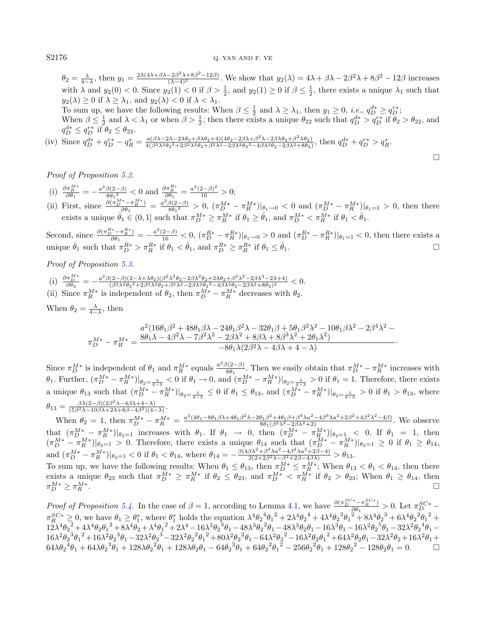$\theta_2 = \frac{\lambda}{4-\lambda}$ , then  $y_1 = \frac{2\lambda(4\lambda+\beta\lambda-2\beta^2\lambda+8\beta^2-12\beta)}{(\lambda-4)^2}$ . We show that  $y_2(\lambda) = 4\lambda + \beta\lambda - 2\beta^2\lambda + 8\beta^2 - 12\beta$  increases with  $\lambda$  and  $y_2(0) < 0$ . Since  $y_2(1) < 0$  if  $\beta > \frac{1}{2}$ , and  $y_2(1) \ge 0$  if  $\beta \le \frac{1}{2}$ , there exists a unique  $\lambda_1$  such that  $y_2(\lambda) \geq 0$  if  $\lambda \geq \lambda_1$ , and  $y_2(\lambda) < 0$  if  $\lambda < \lambda_1$ .

To sum up, we have the following results: When  $\beta \leq \frac{1}{2}$  and  $\lambda \geq \lambda_1$ , then  $y_1 \geq 0$ , *i.e.*,  $q_D^{d*} \geq q_D^{r*}$ ; When  $\beta \leq \frac{1}{2}$  and  $\lambda < \lambda_1$  or when  $\beta > \frac{1}{2}$ , then there exists a unique  $\theta_{22}$  such that  $q_D^{d*} > q_D^{r*}$  if  $\theta_2 > \theta_{22}$ , and  $q_D^{d*} \leq q_D^{r*}$  if  $\theta_2 \leq \theta_{22}$ .

 $\Box$ 

(iv) Since  $q_D^{d*} + q_D^{r*} - q_R^* = \frac{a(\beta \lambda - 2\lambda - 2\lambda\theta_2 + \beta\lambda\theta_2 + 4)(4\theta_2 - 2\beta\lambda + \beta^2\lambda - 2\beta\lambda\theta_2 + \beta^2\lambda\theta_2)}{4(\beta^2\lambda^2\theta_2^2 + 2\beta^2\lambda^2\theta_2 + \beta^2\lambda^2 - 2\beta\lambda^2\theta_2^2 - 4\beta\lambda^2\theta_2 - 2\beta\lambda^2 + 8\theta_2)}$  $\frac{a(\beta \lambda - 2\lambda - 2\lambda \theta_2 + \beta \lambda \theta_2 + 4)(4\theta_2 - 2\beta \lambda + \beta^2 \lambda^2 - 2\beta \lambda \theta_2 + \beta^2 \lambda \theta_2)}{4(\beta^2 \lambda^2 \theta_2^2 + 2\beta^2 \lambda^2 \theta_2 + \beta^2 \lambda^2 - 2\beta \lambda^2 \theta_2^2 - 4\beta \lambda^2 \theta_2 - 2\beta \lambda^2 + 8\theta_2)}, \text{ then } q_D^{d*} + q_D^{r*} > q_R^*.$ 

Proof of Proposition [5.2.](#page-8-1)

- (i)  $\frac{\partial \pi_R^{M*}}{\partial \theta_1} = -\frac{a^2 \beta (2-\beta)}{8 \theta_1^2}$  $\frac{\beta(2-\beta)}{8\theta_1^2}$  < 0 and  $\frac{\partial \pi_R^{R*}}{\partial \theta_1} = \frac{a^2(2-\beta)^2}{16} > 0;$
- (ii) First, since  $\frac{\partial (\pi_D^{M*} \pi_R^{M*})}{\partial \theta_1} = \frac{a^2 \beta (2-\beta)}{8\theta_1^2}$  $\frac{\partial (2-\beta)}{\partial \theta_1^2} > 0$ ,  $(\pi_D^{M*} - \pi_R^{M*})|_{\theta_1 \to 0} < 0$  and  $(\pi_D^{M*} - \pi_R^{M*})|_{\theta_1 = 1} > 0$ , then there exists a unique  $\bar{\theta}_1 \in (0,1]$  such that  $\pi_D^{M*} \geq \pi_R^{M*}$  if  $\theta_1 \geq \bar{\theta}_1$ , and  $\pi_D^{M*} < \pi_R^{M*}$  if  $\theta_1 < \bar{\theta}_1$ .

Second, since  $\frac{\partial(\pi_D^{R*} - \pi_R^{R*})}{\partial \theta_1} = -\frac{a^2(2-\beta)}{16} < 0$ ,  $(\pi_D^{R*} - \pi_R^{R*})|_{\theta_1 \to 0} > 0$  and  $(\pi_D^{R*} - \pi_R^{R*})|_{\theta_1 = 1} < 0$ , then there exists a unique  $\hat{\theta}_1$  such that  $\pi_D^{R*} > \pi_R^{R*}$  if  $\theta_1 < \hat{\theta}_1$ , and  $\pi_D^{R*} \geq \pi_R^{R*}$  if  $\theta_1 \leq \hat{\theta}_1$ .

Proof of Proposition [5.3.](#page-8-0)

(i)  $\frac{\partial \pi_{D}^{M*}}{\partial \theta_{2}} = -\frac{a^2 \beta (2-\beta)(2-\lambda + \lambda \theta_{2}) (\beta^2 \lambda^2 \theta_{2} - 2\beta \lambda^2 \theta_{2} + 2\lambda \theta_{2} + \beta^2 \lambda^2 - 2\beta \lambda^2 - 2\lambda + 4)}{(\beta^2 \lambda^2 \theta_{2}^2 + 2\beta^2 \lambda^2 \theta_{2} + \beta^2 \lambda^2 - 2\beta \lambda^2 \theta_{2}^2 - 4\beta \lambda^2 \theta_{2} - 2\beta \lambda^2 + 8\theta_{2})^2}$  $\frac{(2-\beta)(2-\lambda+\lambda\theta_2)(\beta-\lambda-\theta_2-\lambda\theta_1-\lambda_2+\lambda_1\theta_2+\beta_2-\lambda_1\theta_2+\beta_2-\lambda_1\theta_2)}{(\beta^2\lambda^2\theta_2^2+2\beta^2\lambda^2\theta_2+\beta^2\lambda^2-2\beta\lambda^2\theta_2^2-4\beta\lambda^2\theta_2-2\beta\lambda^2+8\theta_2)^2} < 0.$ 

(ii) Since  $\pi_R^{M*}$  is independent of  $\theta_2$ , then  $\pi_D^{M*} - \pi_R^{M*}$  decreases with  $\theta_2$ .

When  $\theta_2 = \frac{\lambda}{4-\lambda}$ , then

$$
\pi^{M*}_{D} - \pi^{M*}_{R} = \frac{8\theta_1\lambda - 4\beta^2\lambda - 24\theta_1\beta^2\lambda - 32\theta_1\beta + 5\theta_1\beta^2\lambda^2 - 10\theta_1\beta\lambda^2 - 2\beta^4\lambda^2 - 4\theta_1\lambda^2 - 4\theta_1\lambda^2 - 4\theta_1\lambda^2 - 4\theta_1\lambda^2 - 4\theta_1\lambda^2 - 8\theta_1\lambda(2\beta^2\lambda - 4\beta\lambda + 4 - \lambda)}{2}
$$

Since  $\pi_D^{M*}$  is independent of  $\theta_1$  and  $\pi_R^{M*}$  equals  $\frac{a^2\beta(2-\beta)}{8\theta_1}$  $\frac{\pi(2-\beta)}{8\theta_1}$ . Then we easily obtain that  $\pi_D^{M*} - \pi_R^{M*}$  increases with  $\theta_1$ . Further,  $(\pi_D^{M*} - \pi_R^{M*})|_{\theta_2 = \frac{\lambda}{4-\lambda}} < 0$  if  $\theta_1 \to 0$ , and  $(\pi_D^{M*} - \pi_R^{M*})|_{\theta_2 = \frac{\lambda}{4-\lambda}} > 0$  if  $\theta_1 = 1$ . Therefore, there exists a unique  $\theta_{13}$  such that  $(\pi_D^{M*} - \pi_R^{M*})|_{\theta_2 = \frac{\lambda}{4-\lambda}} \leq 0$  if  $\theta_1 \leq \theta_{13}$ , and  $(\pi_D^{M*} - \pi_R^{M*})|_{\theta_2 = \frac{\lambda}{4-\lambda}} > 0$  if  $\theta_1 > \theta_{13}$ , where  $\theta_{13} = \frac{\beta \lambda (2-\beta)(2\beta^2 \lambda - 4\beta \lambda + 4 - \lambda)}{(5\beta^2 \lambda - 10\beta \lambda + 2\lambda + 8\beta - 4\beta^2)(4 - 4\beta^2)}$  $\frac{\beta \lambda (2-\beta)(2\beta - \lambda - 4\beta \lambda + 4 - \lambda)}{(5\beta^2 \lambda - 10\beta \lambda + 2\lambda + 8\beta - 4\beta^2)(4 - \lambda)}$ 

When  $\theta_2 = 1$ , then  $\pi_D^{M*} - \pi_R^{M*} = \frac{a^2(4\theta_1 - 8\theta_1\beta\lambda + 4\theta_1\beta^2\lambda - 2\theta_1\beta^2 + 4\theta_1\beta + \beta^4\lambda a^2 - 4\beta^3\lambda a^2 + 2\beta^2 + 4\beta^2\lambda^2 - 4\beta)}{8\theta_1(\beta^2\lambda^2 - 2\beta\lambda^2 + 2)}$ . We observe that  $(\pi_D^{M*} - \pi_R^{M*})|_{\theta_2=1}$  increases with  $\theta_1$ . If  $\theta_1 \to 0$ , then  $(\pi_D^{M*} - \pi_R^{M*})|_{\theta_2=1} < 0$ . If  $\theta_1 = 1$ , then  $(\pi_D^{M*} - \pi_R^{M*})|_{\theta_2=1} > 0$ . Therefore, there exists a unique  $\theta_{14}$  such that  $(\pi_D^{M*} - \pi_R^{M*})|_{\theta_2=1} \geq 0$  if  $\theta_1 \geq \theta_{14}$ , and  $(\pi_D^{M*} - \pi_R^{M*})|_{\theta_2=1} < 0$  if  $\theta_1 < \theta_{14}$ , where  $\theta_{14} = -\frac{\beta (4\beta \lambda^2 + \beta^3 \lambda a^2 - 4\beta^2 \lambda a^2 + 2\beta - 4)}{2(2 + 2\beta^2 \lambda - \beta^2 + 2\beta - 4\beta \lambda)} > \theta_{13}$ .

To sum up, we have the following results: When  $\theta_1 \leq \theta_{13}$ , then  $\pi_D^{M*} \leq \pi_R^{M*}$ ; When  $\theta_{13} < \theta_1 < \theta_{14}$ , then there exists a unique  $\theta_{23}$  such that  $\pi_D^{M*} \geq \pi_R^{M*}$  if  $\theta_2 \leq \theta_{23}$ , and  $\pi_D^{M*} < \pi_R^{M*}$  if  $\theta_2 > \theta_{23}$ ; When  $\theta_1 \geq \theta_{14}$ , then  $\pi_D^{M*} \geq \pi_R^{M*}$  $\overline{R}$  .

Proof of Proposition [5.4.](#page-8-2) In the case of  $\beta = 1$ , according to Lemma [4.1,](#page-5-2) we have  $\frac{\partial (\pi_D^{SC*} - \pi_R^{SC*})}{\partial \theta_1} > 0$ . Let  $\pi_D^{SC*} \pi_R^{SC*} \geq 0$ , we have  $\theta_1 \geq \theta_1^*$ , where  $\theta_1^*$  holds the equation  $\lambda^4 \theta_2^4 \theta_1^2 + 2 \lambda^4 \theta_2^4 + 4 \lambda^4 \theta_2^3 \theta_1^2 + 8 \lambda^4 \theta_2^3 + 6 \lambda^4 \theta_2^2 \theta_1^2 +$  $12\lambda^4{\theta_2}^2+4\lambda^4{\theta_2}{\theta_1}^2+8\lambda^4{\theta_2}+\lambda^4{\theta_1}^2+2\lambda^4-16\lambda^3{\theta_2}^3{\theta_1}-48\lambda^3{\theta_2}^2{\theta_1}-48\lambda^3{\theta_2}{\theta_1}-16\lambda^3{\theta_1}-16\lambda^2{\theta_2}^5{\theta_1}-32\lambda^2{\theta_2}^4{\theta_1}-24\lambda^4{\theta_2}^3{\theta_1}^2$  ${16 \lambda ^2 \theta _2}^3 \theta _1^{\ 2} + {16 \lambda ^2 \theta _2}^3 \theta _1 - {32 \lambda ^2 \theta _2}^3 - {32 \lambda ^2 \theta _2}^2 \theta _1^{\ 2} + {80 \lambda ^2 \theta _2}^2 \theta _1 - {64 \lambda ^2 \theta _2}^2 - {16 \lambda ^2 \theta _2 \theta _1}^2 + {64 \lambda ^2 \theta _2 \theta _1} - {32 \lambda ^2 \theta _2} + {16 \lambda ^2 \theta _1} +$  $64\lambda\theta_2^4\theta_1 + 64\lambda\theta_2^3\theta_1 + 128\lambda\theta_2^2\theta_1 + 128\lambda\theta_2\theta_1 - 64\theta_2^3\theta_1 + 64\theta_2^2\theta_1^2 - 256\theta_2^2\theta_1 + 128\theta_2^2 - 128\theta_2\theta_1 = 0.$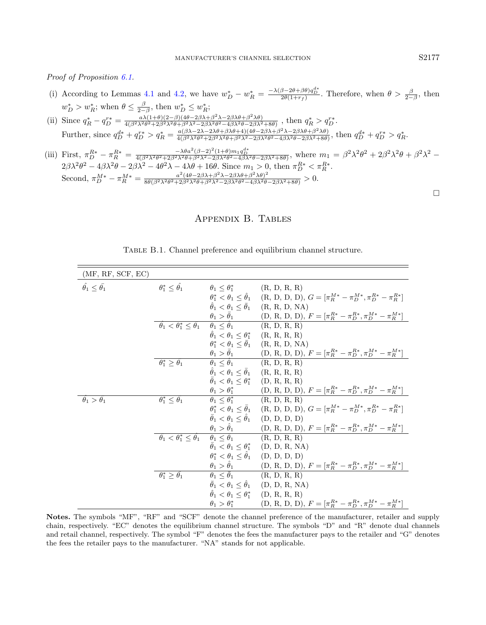Proof of Proposition [6.1.](#page-12-2)

- (i) According to Lemmas [4.1](#page-5-2) and [4.2,](#page-6-0) we have  $w_D^* w_R^* = \frac{-\lambda(\beta 2\theta + \beta\theta)q_D^{d*}}{2\theta(1+r_f)}$ . Therefore, when  $\theta > \frac{\beta}{2-\beta}$ , then  $2\theta(1+r_f)$  $w_D^* > w_R^*$ ; when  $\theta \leq \frac{\beta}{2-\beta}$ , then  $w_D^* \leq w_R^*$ ;
- (ii) Since  $q_R^* q_D^{r*} = \frac{a\lambda(1+\theta)(2-\beta)(4\theta-2\beta\lambda+\beta^2\lambda-2\beta\lambda\theta+\beta^2\lambda\theta)}{4(\beta^2\lambda^2\theta^2+2\beta^2\lambda^2\theta+\beta^2\lambda^2-2\beta\lambda^2\theta^2-4\beta\lambda^2\theta-2\beta\lambda^2)}$  $\frac{a\lambda(1+\theta)(2-\beta)(4\theta-2\beta\lambda+\beta^2\lambda^2-2\beta\lambda\theta+\beta^2\lambda\theta)}{4(\beta^2\lambda^2\theta^2+2\beta^2\lambda^2\theta+\beta^2\lambda^2-2\beta\lambda^2\theta^2-4\beta\lambda^2\theta-2\beta\lambda^2+8\theta)}$ , then  $q_R^* > q_D^{r*}$ . Further, since  $q_D^{d*} + q_D^{r*} > q_R^* = \frac{a(\beta \lambda - 2\lambda - 2\lambda \theta + \beta \lambda \theta + 4)(4\theta - 2\beta \lambda + \beta^2 \lambda - 2\beta \lambda \theta + \beta^2 \lambda \theta)}{4(\beta^2 \lambda^2 \theta^2 + 2\beta^2 \lambda^2 \theta + \beta^2 \lambda^2 - 2\beta \lambda^2 \theta^2 - 4\beta \lambda^2 \theta - 2\beta \lambda^2 + 8\theta)}$  $\frac{a(\beta\lambda-2\lambda-2\lambda\theta+\beta\lambda\theta+4)(4\theta-2\beta\lambda+\beta^2\lambda-2\beta\lambda\theta+\beta^2\lambda\theta)}{4(\beta^2\lambda^2\theta^2+2\beta^2\lambda^2\theta+2\beta\lambda^2\theta^2-4\beta\lambda^2\theta-2\beta\lambda^2+8\theta)}, \text{ then } q_D^{d*} + q_D^{r*} > q_R^*$
- <span id="page-16-1"></span>(iii) First,  $\pi_{D}^{R*} - \pi_{R}^{R*} = \frac{-\lambda \theta a^2 (\beta - 2)^2 (1 + \theta) m_1 q_D^{A*}}{4 (\beta^2 \lambda^2 \theta^2 + 2 \beta^2 \lambda^2 \theta + \beta^2 \lambda^2 - 2 \beta \lambda^2 \theta^2 - 4 \beta \lambda^2 \theta^2 - 2 \beta \lambda^2 \theta^2 + 3 \theta^2)}$ , where  $m_1 = \beta^2 \lambda^2 \theta^2 + 2 \beta^2 \lambda^2 \theta + \beta^2 \lambda^2 - 2 \beta \lambda^2 \theta^2 + 2 \beta^2 \lambda^2$  $2\beta\lambda^2\theta^2 - 4\beta\lambda^2\theta - 2\beta\lambda^2 - 4\theta^2\lambda - 4\lambda\theta + 16\theta$ . Since  $m_1 > 0$ , then  $\pi_D^{R*} < \pi_R^{R*}$ . Second,  $\pi_D^{M*} - \pi_R^{M*} = \frac{a^2(4\theta - 2\beta\lambda + \beta^2\lambda - 2\beta\lambda\theta + \beta^2\lambda\theta)^2}{8\theta(\beta^2\lambda^2\theta^2 + 2\beta^2\lambda^2\theta + \beta^2\lambda^2 - 2\beta\lambda^2\theta^2 - 4\beta\lambda^2\theta)}$  $\frac{a^{(4\theta-2\beta\lambda+\beta-\lambda-2\beta\lambda\theta+\beta-\lambda\theta)}}{8\theta(\beta^2\lambda^2\theta^2+2\beta^2\lambda^2\theta+\beta^2\lambda^2-2\beta\lambda^2\theta^2-4\beta\lambda^2\theta-2\beta\lambda^2+8\theta)} > 0.$

## <span id="page-16-0"></span>Appendix B. Tables

| (MF, RF, SCF, EC)                     |                                                      |                                                              |                                                                                                                                                                                                                                                                                                                                                          |
|---------------------------------------|------------------------------------------------------|--------------------------------------------------------------|----------------------------------------------------------------------------------------------------------------------------------------------------------------------------------------------------------------------------------------------------------------------------------------------------------------------------------------------------------|
| $\ddot{\theta_1} \leq \bar{\theta_1}$ | $\theta_1^* \leq \hat{\theta_1}$                     | $\theta_1 \leq \theta_1^*$ (R, D, R, R)                      |                                                                                                                                                                                                                                                                                                                                                          |
|                                       |                                                      |                                                              | $\theta_1^* < \theta_1 \leq \hat{\theta}_1$ (R, D, D, D), $G = [\pi_R^{M*} - \pi_D^{M*}, \pi_D^{R*} - \pi_R^{R*}]$                                                                                                                                                                                                                                       |
|                                       |                                                      |                                                              | $\hat{\theta}_1 < \theta_1 \leq \bar{\theta}_1$ (R, R, D, NA)                                                                                                                                                                                                                                                                                            |
|                                       |                                                      |                                                              | $\label{eq:theta_1} \begin{array}{ll} \theta_1 > \bar{\theta}_1 & \qquad (\mathbf{D},\, \mathbf{R},\, \mathbf{D},\, \mathbf{D}),\, F = [\pi_R^{R*} - \pi_D^{R*}, \pi_D^{M*} - \pi_R^{M*}] \\ \bar{\theta_1} < \theta_1^* \leq \bar{\theta}_1 & \theta_1 \leq \hat{\theta}_1 & \qquad (\mathbf{R},\, \mathbf{D},\, \mathbf{R},\, \mathbf{R}) \end{array}$ |
|                                       |                                                      |                                                              |                                                                                                                                                                                                                                                                                                                                                          |
|                                       |                                                      | $\hat{\theta}_1 < \theta_1 \leq \theta_1^*$ (R, R, R, R)     |                                                                                                                                                                                                                                                                                                                                                          |
|                                       |                                                      |                                                              | $\theta_1^* < \theta_1 \leq \overline{\theta}_1$ (R, R, D, NA)                                                                                                                                                                                                                                                                                           |
|                                       |                                                      |                                                              | $\theta_1 > \bar{\theta}_1$ (D, R, D, D), $F = [\pi_R^{R*} - \pi_D^{R*}, \pi_D^{M*} - \pi_R^{M*}]$                                                                                                                                                                                                                                                       |
|                                       | $\theta_1^* \geq \bar{\theta_1}$                     | $\theta_1 \leq \hat{\theta}_1$ (R, D, R, R)                  |                                                                                                                                                                                                                                                                                                                                                          |
|                                       |                                                      | $\hat{\theta}_1 < \theta_1 \leq \bar{\theta}_1$ (R, R, R, R) |                                                                                                                                                                                                                                                                                                                                                          |
|                                       |                                                      | $\bar{\theta}_1 < \theta_1 \leq \theta_1^*$ (D, R, R, R)     |                                                                                                                                                                                                                                                                                                                                                          |
|                                       |                                                      |                                                              | $\begin{array}{ll} \theta_1 > \theta_1^* & \qquad {\rm (D,\,R,\,D,\,D),\ } F = [\pi_R^{R*} - \pi_D^{R*}, \pi_D^{M*} - \pi_R^{M*}] \\ \theta_1 \leq \theta_1^* & \qquad {\rm (R,\,D,\,R,\,R)} \end{array}$                                                                                                                                                |
| $\ddot{\theta_1} > \bar{\theta_1}$    | $\theta_1^* \leq \bar{\theta_1}$                     |                                                              |                                                                                                                                                                                                                                                                                                                                                          |
|                                       |                                                      |                                                              | $\theta_1^* < \theta_1 \leq \bar{\theta}_1$ (R, D, D, D), $G = [\pi_R^{M*} - \pi_D^{M*}, \pi_D^{R*} - \pi_R^{R*}]$                                                                                                                                                                                                                                       |
|                                       |                                                      |                                                              | $\bar{\theta}_1 < \theta_1 \leq \hat{\theta}_1$ (D, D, D, D)                                                                                                                                                                                                                                                                                             |
|                                       |                                                      |                                                              | $\begin{array}{ll} \theta_1 > \hat{\theta}_1 & \quad \text{(D, R, D, D), } F = [\pi_R^{R*} - \pi_D^{R*}, \pi_D^{M*} - \pi_R^{M*}] \\ \theta_1 \leq \bar{\theta}_1 & \quad \text{(R, D, R, R)} \end{array}$                                                                                                                                               |
|                                       | $\bar{\theta_1} \leq \theta_1^* \leq \hat{\theta_1}$ |                                                              |                                                                                                                                                                                                                                                                                                                                                          |
|                                       |                                                      |                                                              | $\bar{\theta}_1 < \theta_1 \leq \theta_1^*$ (D, D, R, NA)                                                                                                                                                                                                                                                                                                |
|                                       |                                                      |                                                              | $\theta_1^* < \theta_1 \leq \hat{\theta}_1$ (D, D, D, D)                                                                                                                                                                                                                                                                                                 |
|                                       |                                                      |                                                              | $\theta_1 > \hat{\theta}_1$ (D, R, D, D), $F = [\pi_R^{R*} - \pi_D^{R*}, \pi_D^{M*} - \pi_R^{M*}]$                                                                                                                                                                                                                                                       |
|                                       | $\theta_1^* \geq \theta_1$                           | $\theta_1 \leq \bar{\theta}_1$ (R, D, R, R)                  |                                                                                                                                                                                                                                                                                                                                                          |
|                                       |                                                      |                                                              | $\bar{\theta}_1 < \theta_1 \leq \theta_1$ (D, D, R, NA)                                                                                                                                                                                                                                                                                                  |
|                                       |                                                      |                                                              | $\hat{\theta}_1 < \theta_1 \leq \theta_1^*$ (D, R, R, R)                                                                                                                                                                                                                                                                                                 |
|                                       |                                                      | $\theta_1 > \theta_1^*$                                      | $(D, R, D, D), F = [\pi_R^{R*} - \pi_D^{R*}, \pi_D^{M*} - \pi_R^{M*}]$                                                                                                                                                                                                                                                                                   |

| TABLE B.1. Channel preference and equilibrium channel structure. |  |  |  |
|------------------------------------------------------------------|--|--|--|
|                                                                  |  |  |  |

Notes. The symbols "MF", "RF" and "SCF" denote the channel preference of the manufacturer, retailer and supply chain, respectively. "EC" denotes the equilibrium channel structure. The symbols "D" and "R" denote dual channels and retail channel, respectively. The symbol "F" denotes the fees the manufacturer pays to the retailer and "G" denotes the fees the retailer pays to the manufacturer. "NA" stands for not applicable.

 $\Box$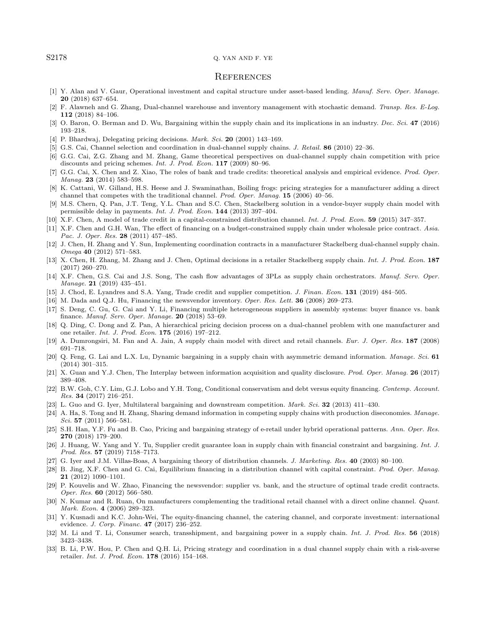#### <span id="page-17-30"></span><span id="page-17-21"></span><span id="page-17-13"></span><span id="page-17-10"></span><span id="page-17-4"></span><span id="page-17-2"></span><span id="page-17-0"></span>S2178 Q. YAN AND F. YE

#### **REFERENCES**

- <span id="page-17-23"></span>[1] Y. Alan and V. Gaur, Operational investment and capital structure under asset-based lending. Manuf. Serv. Oper. Manage. 20 (2018) 637–654.
- <span id="page-17-19"></span><span id="page-17-16"></span>[2] F. Alawneh and G. Zhang, Dual-channel warehouse and inventory management with stochastic demand. Transp. Res. E-Log. 112 (2018) 84–106.
- <span id="page-17-24"></span>[3] O. Baron, O. Berman and D. Wu, Bargaining within the supply chain and its implications in an industry. Dec. Sci. 47 (2016) 193–218.
- [4] P. Bhardwaj, Delegating pricing decisions. Mark. Sci. 20 (2001) 143-169.
- <span id="page-17-1"></span>[5] G.S. Cai, Channel selection and coordination in dual-channel supply chains. J. Retail. 86 (2010) 22–36.
- <span id="page-17-5"></span>[6] G.G. Cai, Z.G. Zhang and M. Zhang, Game theoretical perspectives on dual-channel supply chain competition with price discounts and pricing schemes. Int. J. Prod. Econ. 117 (2009) 80-96.
- <span id="page-17-25"></span>[7] G.G. Cai, X. Chen and Z. Xiao, The roles of bank and trade credits: theoretical analysis and empirical evidence. Prod. Oper. Manag. **23** (2014) 583–598.
- <span id="page-17-28"></span><span id="page-17-20"></span>[8] K. Cattani, W. Gilland, H.S. Heese and J. Swaminathan, Boiling frogs: pricing strategies for a manufacturer adding a direct channel that competes with the traditional channel. Prod. Oper. Manag. 15 (2006) 40–56.
- <span id="page-17-17"></span>[9] M.S. Chern, Q. Pan, J.T. Teng, Y.L. Chan and S.C. Chen, Stackelberg solution in a vendor-buyer supply chain model with permissible delay in payments. Int. J. Prod. Econ. 144 (2013) 397–404.
- <span id="page-17-11"></span>[10] X.F. Chen, A model of trade credit in a capital-constrained distribution channel. Int. J. Prod. Econ. 59 (2015) 347–357.
- [11] X.F. Chen and G.H. Wan, The effect of financing on a budget-constrained supply chain under wholesale price contract. Asia. Pac. J. Oper. Res. 28 (2011) 457–485.
- <span id="page-17-29"></span>[12] J. Chen, H. Zhang and Y. Sun, Implementing coordination contracts in a manufacturer Stackelberg dual-channel supply chain. Omega 40 (2012) 571–583.
- <span id="page-17-32"></span>[13] X. Chen, H. Zhang, M. Zhang and J. Chen, Optimal decisions in a retailer Stackelberg supply chain. Int. J. Prod. Econ. 187 (2017) 260–270.
- <span id="page-17-6"></span>[14] X.F. Chen, G.S. Cai and J.S. Song, The cash flow advantages of 3PLs as supply chain orchestrators. Manuf. Serv. Oper. Manage. **21** (2019) 435-451.
- <span id="page-17-8"></span>[15] J. Chod, E. Lyandres and S.A. Yang, Trade credit and supplier competition. J. Finan. Econ. 131 (2019) 484–505.
- <span id="page-17-3"></span>[16] M. Dada and Q.J. Hu, Financing the newsvendor inventory. Oper. Res. Lett. 36 (2008) 269-273.
- <span id="page-17-27"></span>[17] S. Deng, C. Gu, G. Cai and Y. Li, Financing multiple heterogeneous suppliers in assembly systems: buyer finance vs. bank finance. Manuf. Serv. Oper. Manage. 20 (2018) 53–69.
- <span id="page-17-26"></span>[18] Q. Ding, C. Dong and Z. Pan, A hierarchical pricing decision process on a dual-channel problem with one manufacturer and one retailer. Int. J. Prod. Econ. 175 (2016) 197–212.
- <span id="page-17-9"></span>[19] A. Dumrongsiri, M. Fan and A. Jain, A supply chain model with direct and retail channels. Eur. J. Oper. Res. 187 (2008) 691–718.
- <span id="page-17-18"></span>[20] Q. Feng, G. Lai and L.X. Lu, Dynamic bargaining in a supply chain with asymmetric demand information. Manage. Sci. 61 (2014) 301–315.
- <span id="page-17-22"></span>[21] X. Guan and Y.J. Chen, The Interplay between information acquisition and quality disclosure. Prod. Oper. Manag. 26 (2017) 389–408.
- <span id="page-17-14"></span>[22] B.W. Goh, C.Y. Lim, G.J. Lobo and Y.H. Tong, Conditional conservatism and debt versus equity financing. Contemp. Account. *Res.* **34** (2017) 216–251.
- <span id="page-17-7"></span>[23] L. Guo and G. Iyer, Multilateral bargaining and downstream competition. Mark. Sci. 32 (2013) 411–430.
- <span id="page-17-12"></span>[24] A. Ha, S. Tong and H. Zhang, Sharing demand information in competing supply chains with production diseconomies. Manage. Sci. **57** (2011) 566-581.
- <span id="page-17-31"></span>[25] S.H. Han, Y.F. Fu and B. Cao, Pricing and bargaining strategy of e-retail under hybrid operational patterns. Ann. Oper. Res. 270 (2018) 179–200.
- [26] J. Huang, W. Yang and Y. Tu, Supplier credit guarantee loan in supply chain with financial constraint and bargaining. Int. J. Prod. Res. 57 (2019) 7158–7173.
- [27] G. Iyer and J.M. Villas-Boas, A bargaining theory of distribution channels. J. Marketing. Res. 40 (2003) 80-100.
- [28] B. Jing, X.F. Chen and G. Cai, Equilibrium financing in a distribution channel with capital constraint. Prod. Oper. Manag. 21 (2012) 1090–1101.
- [29] P. Kouvelis and W. Zhao, Financing the newsvendor: supplier vs. bank, and the structure of optimal trade credit contracts. Oper. Res. 60 (2012) 566–580.
- [30] N. Kumar and R. Ruan, On manufacturers complementing the traditional retail channel with a direct online channel. Quant. Mark. Econ. 4 (2006) 289–323.
- [31] Y. Kusnadi and K.C. John-Wei, The equity-financing channel, the catering channel, and corporate investment: international evidence. J. Corp. Financ. 47 (2017) 236–252.
- [32] M. Li and T. Li, Consumer search, transshipment, and bargaining power in a supply chain. Int. J. Prod. Res. 56 (2018) 3423–3438.
- [33] B. Li, P.W. Hou, P. Chen and Q.H. Li, Pricing strategy and coordination in a dual channel supply chain with a risk-averse retailer. Int. J. Prod. Econ. 178 (2016) 154–168.

<span id="page-17-15"></span>